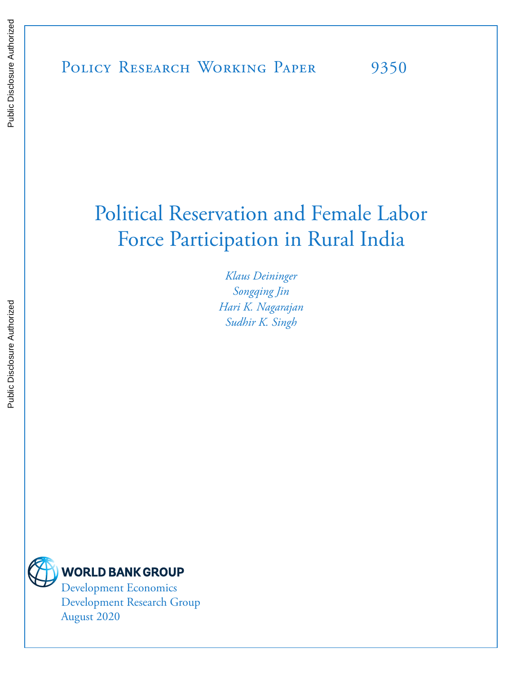# Political Reservation and Female Labor Force Participation in Rural India

*Klaus Deininger Songqing Jin Hari K. Nagarajan Sudhir K. Singh*



Development Economics Development Research Group August 2020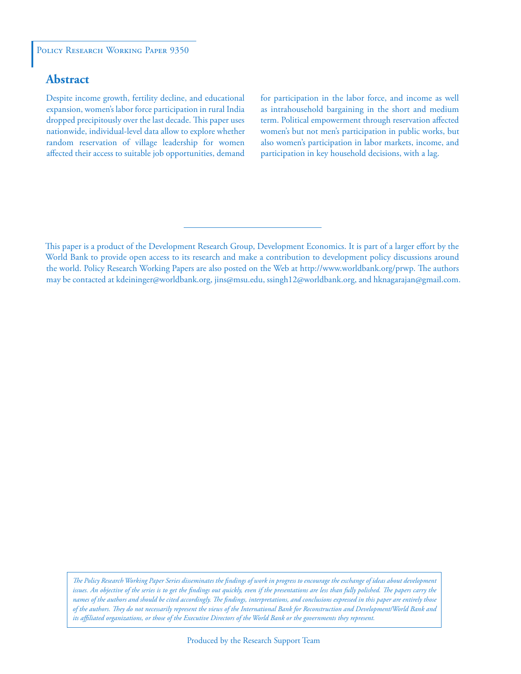#### POLICY RESEARCH WORKING PAPER 9350

# **Abstract**

Despite income growth, fertility decline, and educational expansion, women's labor force participation in rural India dropped precipitously over the last decade. This paper uses nationwide, individual-level data allow to explore whether random reservation of village leadership for women affected their access to suitable job opportunities, demand for participation in the labor force, and income as well as intrahousehold bargaining in the short and medium term. Political empowerment through reservation affected women's but not men's participation in public works, but also women's participation in labor markets, income, and participation in key household decisions, with a lag.

This paper is a product of the Development Research Group, Development Economics. It is part of a larger effort by the World Bank to provide open access to its research and make a contribution to development policy discussions around the world. Policy Research Working Papers are also posted on the Web at http://www.worldbank.org/prwp. The authors may be contacted at kdeininger@worldbank.org, jins@msu.edu, ssingh12@worldbank.org, and hknagarajan@gmail.com.

*The Policy Research Working Paper Series disseminates the findings of work in progress to encourage the exchange of ideas about development*  issues. An objective of the series is to get the findings out quickly, even if the presentations are less than fully polished. The papers carry the *names of the authors and should be cited accordingly. The findings, interpretations, and conclusions expressed in this paper are entirely those of the authors. They do not necessarily represent the views of the International Bank for Reconstruction and Development/World Bank and its affiliated organizations, or those of the Executive Directors of the World Bank or the governments they represent.*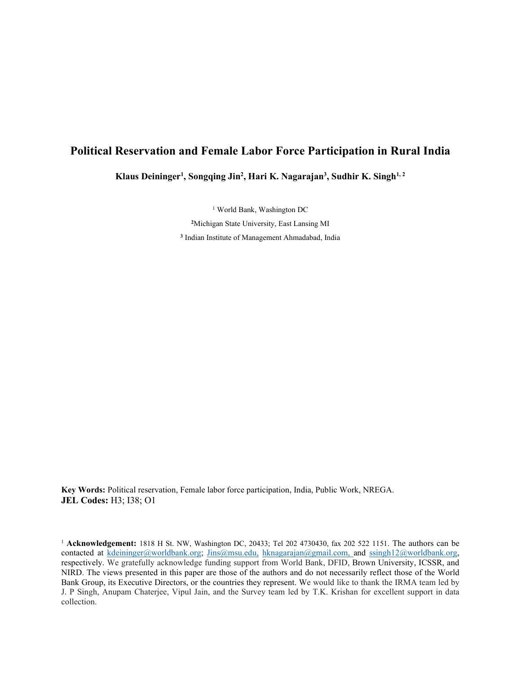# **Political Reservation and Female Labor Force Participation in Rural India**

**Klaus Deininger1 , Songqing Jin2 , Hari K. Nagarajan3 , Sudhir K. Singh1, 2**

<sup>1</sup> World Bank, Washington DC

**<sup>2</sup>**Michigan State University, East Lansing MI **<sup>3</sup>** Indian Institute of Management Ahmadabad, India

**Key Words:** Political reservation, Female labor force participation, India, Public Work, NREGA. **JEL Codes:** H3; I38; O1

<sup>1</sup> **Acknowledgement:** 1818 H St. NW, Washington DC, 20433; Tel 202 4730430, fax 202 522 1151. The authors can be contacted at [kdeininger@worldbank.org;](mailto:kdeininger@worldbank.org) Jins@msu.edu, [hknagarajan@gmail.com,](mailto:hknagarajan@gmail.com) and [ssingh12@worldbank.org,](mailto:ssingh12@worldbank.org) respectively. We gratefully acknowledge funding support from World Bank, DFID, Brown University, ICSSR, and NIRD. The views presented in this paper are those of the authors and do not necessarily reflect those of the World Bank Group, its Executive Directors, or the countries they represent. We would like to thank the IRMA team led by J. P Singh, Anupam Chaterjee, Vipul Jain, and the Survey team led by T.K. Krishan for excellent support in data collection.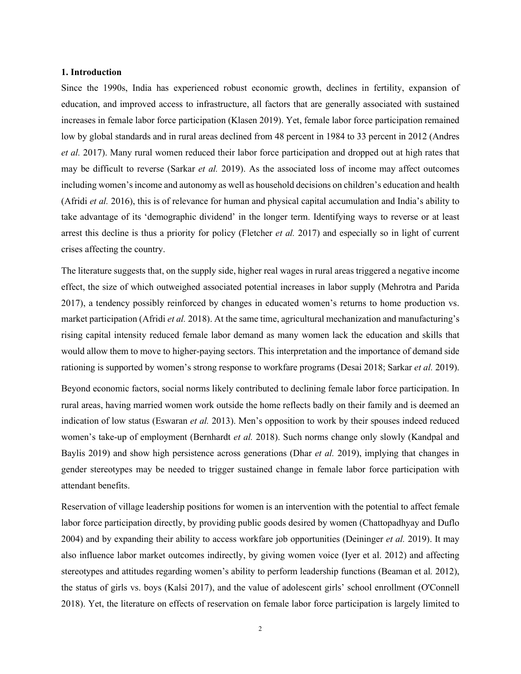#### **1. Introduction**

Since the 1990s, India has experienced robust economic growth, declines in fertility, expansion of education, and improved access to infrastructure, all factors that are generally associated with sustained increases in female labor force participation [\(Klasen 2019\)](#page-33-0). Yet, female labor force participation remained low by global standards and in rural areas declined from 48 percent in 1984 to 33 percent in 2012 [\(Andres](#page-31-0) *et al.* [2017\)](#page-31-0). Many rural women reduced their labor force participation and dropped out at high rates that may be difficult to reverse [\(Sarkar](#page-33-1) *et al.* 2019). As the associated loss of income may affect outcomes including women's income and autonomy as well as household decisions on children's education and health [\(Afridi](#page-31-1) *et al.* 2016), this is of relevance for human and physical capital accumulation and India's ability to take advantage of its 'demographic dividend' in the longer term. Identifying ways to reverse or at least arrest this decline is thus a priority for policy [\(Fletcher](#page-32-0) *et al.* 2017) and especially so in light of current crises affecting the country.

The literature suggests that, on the supply side, higher real wages in rural areas triggered a negative income effect, the size of which outweighed associated potential increases in labor supply [\(Mehrotra and Parida](#page-33-2)  [2017\)](#page-33-2), a tendency possibly reinforced by changes in educated women's returns to home production vs. market participation [\(Afridi](#page-31-2) *et al.* 2018). At the same time, agricultural mechanization and manufacturing's rising capital intensity reduced female labor demand as many women lack the education and skills that would allow them to move to higher-paying sectors. This interpretation and the importance of demand side rationing is supported by women's strong response to workfare programs [\(Desai 2018;](#page-31-3) [Sarkar](#page-33-1) *et al.* 2019).

Beyond economic factors, social norms likely contributed to declining female labor force participation. In rural areas, having married women work outside the home reflects badly on their family and is deemed an indication of low status [\(Eswaran](#page-32-1) *et al.* 2013). Men's opposition to work by their spouses indeed reduced women's take-up of employment [\(Bernhardt](#page-31-4) *et al.* 2018). Such norms change only slowly [\(Kandpal and](#page-32-2)  [Baylis 2019\)](#page-32-2) and show high persistence across generations [\(Dhar](#page-32-3) *et al.* 2019), implying that changes in gender stereotypes may be needed to trigger sustained change in female labor force participation with attendant benefits.

Reservation of village leadership positions for women is an intervention with the potential to affect female labor force participation directly, by providing public goods desired by women [\(Chattopadhyay and Duflo](#page-31-5)  [2004\)](#page-31-5) and by expanding their ability to access workfare job opportunities [\(Deininger](#page-31-6) *et al.* 2019). It may also influence labor market outcomes indirectly, by giving women voice (Iyer [et al. 2012\)](#page-32-4) and affecting stereotypes and attitudes regarding women's ability to perform leadership functions [\(Beaman](#page-31-7) et al*.* 2012), the status of girls vs. boys [\(Kalsi 2017\)](#page-32-5), and the value of adolescent girls' school enrollment [\(O'Connell](#page-33-3)  [2018\)](#page-33-3). Yet, the literature on effects of reservation on female labor force participation is largely limited to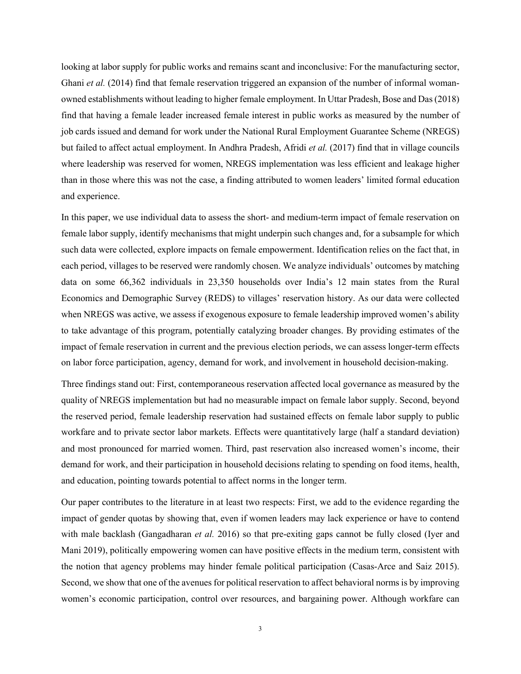looking at labor supply for public works and remains scant and inconclusive: For the manufacturing sector, Ghani *et al.* [\(2014\)](#page-32-6) find that female reservation triggered an expansion of the number of informal womanowned establishments without leading to higher female employment. In Uttar Pradesh[, Bose and Das \(2018\)](#page-31-8) find that having a female leader increased female interest in public works as measured by the number of job cards issued and demand for work under the National Rural Employment Guarantee Scheme (NREGS) but failed to affect actual employment. In Andhra Pradesh, Afridi *et al.* [\(2017\)](#page-31-9) find that in village councils where leadership was reserved for women, NREGS implementation was less efficient and leakage higher than in those where this was not the case, a finding attributed to women leaders' limited formal education and experience.

In this paper, we use individual data to assess the short- and medium-term impact of female reservation on female labor supply, identify mechanisms that might underpin such changes and, for a subsample for which such data were collected, explore impacts on female empowerment. Identification relies on the fact that, in each period, villages to be reserved were randomly chosen. We analyze individuals' outcomes by matching data on some 66,362 individuals in 23,350 households over India's 12 main states from the Rural Economics and Demographic Survey (REDS) to villages' reservation history. As our data were collected when NREGS was active, we assess if exogenous exposure to female leadership improved women's ability to take advantage of this program, potentially catalyzing broader changes. By providing estimates of the impact of female reservation in current and the previous election periods, we can assess longer-term effects on labor force participation, agency, demand for work, and involvement in household decision-making.

Three findings stand out: First, contemporaneous reservation affected local governance as measured by the quality of NREGS implementation but had no measurable impact on female labor supply. Second, beyond the reserved period, female leadership reservation had sustained effects on female labor supply to public workfare and to private sector labor markets. Effects were quantitatively large (half a standard deviation) and most pronounced for married women. Third, past reservation also increased women's income, their demand for work, and their participation in household decisions relating to spending on food items, health, and education, pointing towards potential to affect norms in the longer term.

Our paper contributes to the literature in at least two respects: First, we add to the evidence regarding the impact of gender quotas by showing that, even if women leaders may lack experience or have to contend with male backlash [\(Gangadharan](#page-32-7) *et al.* 2016) so that pre-exiting gaps cannot be fully closed [\(Iyer and](#page-32-8)  [Mani 2019\)](#page-32-8), politically empowering women can have positive effects in the medium term, consistent with the notion that agency problems may hinder female political participation [\(Casas-Arce and Saiz 2015\)](#page-31-10). Second, we show that one of the avenues for political reservation to affect behavioral norms is by improving women's economic participation, control over resources, and bargaining power. Although workfare can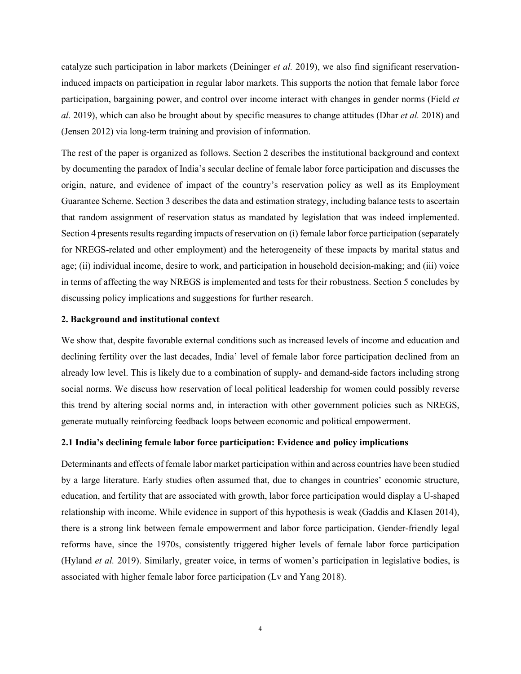catalyze such participation in labor markets [\(Deininger](#page-31-6) *et al.* 2019), we also find significant reservationinduced impacts on participation in regular labor markets. This supports the notion that female labor force participation, bargaining power, and control over income interact with changes in gender norms [\(Field](#page-32-9) *et al.* [2019\)](#page-32-9), which can also be brought about by specific measures to change attitudes [\(Dhar](#page-32-10) *et al.* 2018) and [\(Jensen 2012\)](#page-32-11) via long-term training and provision of information.

The rest of the paper is organized as follows. Section 2 describes the institutional background and context by documenting the paradox of India's secular decline of female labor force participation and discusses the origin, nature, and evidence of impact of the country's reservation policy as well as its Employment Guarantee Scheme. Section 3 describes the data and estimation strategy, including balance tests to ascertain that random assignment of reservation status as mandated by legislation that was indeed implemented. Section 4 presents results regarding impacts of reservation on (i) female labor force participation (separately for NREGS-related and other employment) and the heterogeneity of these impacts by marital status and age; (ii) individual income, desire to work, and participation in household decision-making; and (iii) voice in terms of affecting the way NREGS is implemented and tests for their robustness. Section 5 concludes by discussing policy implications and suggestions for further research.

#### **2. Background and institutional context**

We show that, despite favorable external conditions such as increased levels of income and education and declining fertility over the last decades, India' level of female labor force participation declined from an already low level. This is likely due to a combination of supply- and demand-side factors including strong social norms. We discuss how reservation of local political leadership for women could possibly reverse this trend by altering social norms and, in interaction with other government policies such as NREGS, generate mutually reinforcing feedback loops between economic and political empowerment.

#### **2.1 India's declining female labor force participation: Evidence and policy implications**

Determinants and effects of female labor market participation within and across countries have been studied by a large literature. Early studies often assumed that, due to changes in countries' economic structure, education, and fertility that are associated with growth, labor force participation would display a U-shaped relationship with income. While evidence in support of this hypothesis is weak [\(Gaddis and Klasen 2014\)](#page-32-12), there is a strong link between female empowerment and labor force participation. Gender-friendly legal reforms have, since the 1970s, consistently triggered higher levels of female labor force participation [\(Hyland](#page-32-13) *et al.* 2019). Similarly, greater voice, in terms of women's participation in legislative bodies, is associated with higher female labor force participation [\(Lv and Yang 2018\)](#page-33-4).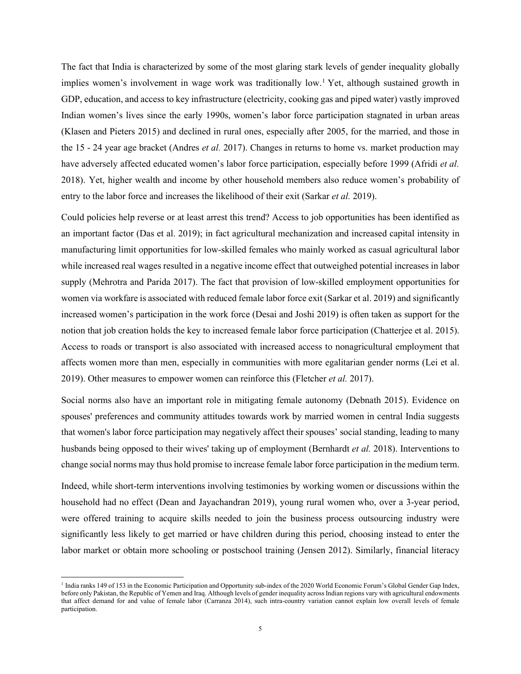The fact that India is characterized by some of the most glaring stark levels of gender inequality globally implies women's involvement in wage work was traditionally low. [1](#page-6-0) Yet, although sustained growth in GDP, education, and access to key infrastructure (electricity, cooking gas and piped water) vastly improved Indian women's lives since the early 1990s, women's labor force participation stagnated in urban areas [\(Klasen and Pieters 2015\)](#page-32-14) and declined in rural ones, especially after 2005, for the married, and those in the 15 - 24 year age bracket [\(Andres](#page-31-0) *et al.* 2017). Changes in returns to home vs. market production may have adversely affected educated women's labor force participation, especially before 1999 [\(Afridi](#page-31-2) *et al.* [2018\)](#page-31-2). Yet, higher wealth and income by other household members also reduce women's probability of entry to the labor force and increases the likelihood of their exit [\(Sarkar](#page-33-1) *et al.* 2019).

Could policies help reverse or at least arrest this trend? Access to job opportunities has been identified as an important factor [\(Das et al. 2019\)](#page-31-11); in fact agricultural mechanization and increased capital intensity in manufacturing limit opportunities for low-skilled females who mainly worked as casual agricultural labor while increased real wages resulted in a negative income effect that outweighed potential increases in labor supply [\(Mehrotra and Parida 2017\)](#page-33-2). The fact that provision of low-skilled employment opportunities for women via workfare is associated with reduced female labor force exit [\(Sarkar et al. 2019\)](#page-33-1) and significantly increased women's participation in the work force [\(Desai and Joshi 2019\)](#page-32-15) is often taken as support for the notion that job creation holds the key to increased female labor force participation [\(Chatterjee et al. 2015\)](#page-31-12). Access to roads or transport is also associated with increased access to nonagricultural employment that affects women more than men, especially in communities with more egalitarian gender norms [\(Lei et al.](#page-33-5)  [2019\)](#page-33-5). Other measures to empower women can reinforce this [\(Fletcher](#page-32-0) *et al.* 2017).

Social norms also have an important role in mitigating female autonomy [\(Debnath 2015\)](#page-31-13). Evidence on spouses' preferences and community attitudes towards work by married women in central India suggests that women's labor force participation may negatively affect their spouses' social standing, leading to many husbands being opposed to their wives' taking up of employment [\(Bernhardt](#page-31-4) *et al.* 2018). Interventions to change social norms may thus hold promise to increase female labor force participation in the medium term.

Indeed, while short-term interventions involving testimonies by working women or discussions within the household had no effect [\(Dean and Jayachandran 2019\)](#page-31-14), young rural women who, over a 3-year period, were offered training to acquire skills needed to join the business process outsourcing industry were significantly less likely to get married or have children during this period, choosing instead to enter the labor market or obtain more schooling or postschool training [\(Jensen 2012\)](#page-32-11). Similarly, financial literacy

<span id="page-6-0"></span><sup>&</sup>lt;sup>1</sup> India ranks 149 of 153 in the Economic Participation and Opportunity sub-index of the 2020 World Economic Forum's Global Gender Gap Index, before only Pakistan, the Republic of Yemen and Iraq. Although levels of gender inequality across Indian regions vary with agricultural endowments that affect demand for and value of female labor [\(Carranza 2014\)](#page-31-15), such intra-country variation cannot explain low overall levels of female participation.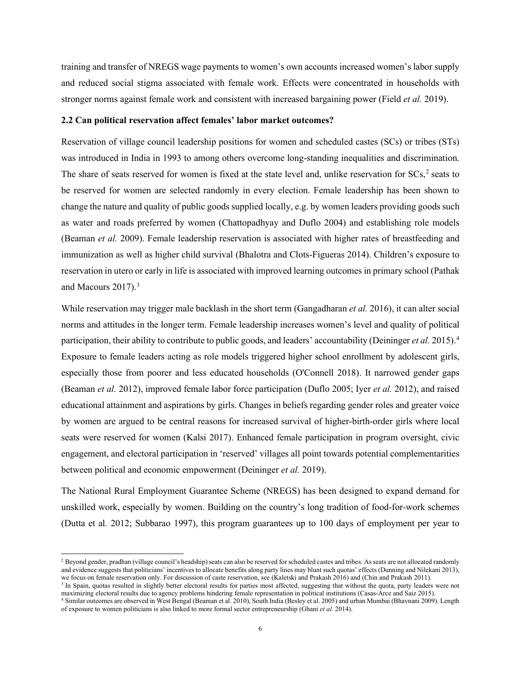training and transfer of NREGS wage payments to women's own accounts increased women's labor supply and reduced social stigma associated with female work. Effects were concentrated in households with stronger norms against female work and consistent with increased bargaining power [\(Field](#page-32-9) *et al.* 2019).

#### **2.2 Can political reservation affect females' labor market outcomes?**

Reservation of village council leadership positions for women and scheduled castes (SCs) or tribes (STs) was introduced in India in 1993 to among others overcome long-standing inequalities and discrimination. The share of seats reserved for women is fixed at the state level and, unlike reservation for SCs,<sup>[2](#page-7-0)</sup> seats to be reserved for women are selected randomly in every election. Female leadership has been shown to change the nature and quality of public goods supplied locally, e.g. by women leaders providing goods such as water and roads preferred by women [\(Chattopadhyay and Duflo 2004\)](#page-31-5) and establishing role models (Beaman *et al.* 2009). Female leadership reservation is associated with higher rates of breastfeeding and immunization as well as higher child survival [\(Bhalotra and Clots-Figueras 2014\)](#page-31-16). Children's exposure to reservation in utero or early in life is associated with improved learning outcomes in primary school [\(Pathak](#page-33-6)  [and Macours 2017\)](#page-33-6). [3](#page-7-1)

While reservation may trigger male backlash in the short term [\(Gangadharan](#page-32-7) *et al.* 2016), it can alter social norms and attitudes in the longer term. Female leadership increases women's level and quality of political participation, their ability to contribute to public goods, and leaders' accountability [\(Deininger](#page-31-17) *et al.* 2015). [4](#page-7-2) Exposure to female leaders acting as role models triggered higher school enrollment by adolescent girls, especially those from poorer and less educated households [\(O'Connell 2018\)](#page-33-3). It narrowed gender gaps [\(Beaman](#page-31-7) *et al.* 2012), improved female labor force participation [\(Duflo 2005;](#page-32-16) Iyer *et al.* [2012\)](#page-32-4), and raised educational attainment and aspirations by girls. Changes in beliefs regarding gender roles and greater voice by women are argued to be central reasons for increased survival of higher-birth-order girls where local seats were reserved for women [\(Kalsi 2017\)](#page-32-5). Enhanced female participation in program oversight, civic engagement, and electoral participation in 'reserved' villages all point towards potential complementarities between political and economic empowerment [\(Deininger](#page-31-6) *et al.* 2019).

The National Rural Employment Guarantee Scheme (NREGS) has been designed to expand demand for unskilled work, especially by women. Building on the country's long tradition of food-for-work schemes [\(Dutta](#page-32-17) et al*.* 2012; [Subbarao 1997\)](#page-33-7), this program guarantees up to 100 days of employment per year to

<span id="page-7-0"></span><sup>&</sup>lt;sup>2</sup> Beyond gender, pradhan (village council's headship) seats can also be reserved for scheduled castes and tribes. As seats are not allocated randomly and evidence suggests that politicians' incentives to allocate benefits along party lines may blunt such quotas' effects [\(Dunning and Nilekani 2013\)](#page-32-18), we focus on female reservation only. For discussion of caste reservation, see [\(Kaletski and Prakash 2016\)](#page-32-19) and [\(Chin and Prakash 2011\)](#page-31-18).

<span id="page-7-1"></span><sup>&</sup>lt;sup>3</sup> In Spain, quotas resulted in slightly better electoral results for parties most affected, suggesting that without the quota, party leaders were not maximizing electoral results due to agency problems hindering female representation in political institutions [\(Casas-Arce and Saiz 2015\)](#page-31-10).

<span id="page-7-2"></span><sup>4</sup> Similar outcomes are observed in West Bengal (Beaman et al. 2010), South India (Besley et al. 2005) and urban Mumbai (Bhavnani 2009). Length of exposure to women politicians is also linked to more formal sector entrepreneurship [\(Ghani](#page-32-6) *et al.* 2014).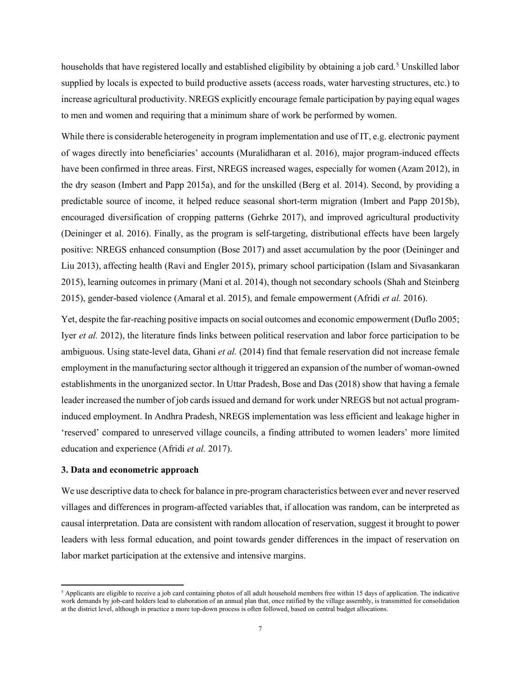households that have registered locally and established eligibility by obtaining a job card.<sup>[5](#page-8-0)</sup> Unskilled labor supplied by locals is expected to build productive assets (access roads, water harvesting structures, etc.) to increase agricultural productivity. NREGS explicitly encourage female participation by paying equal wages to men and women and requiring that a minimum share of work be performed by women.

While there is considerable heterogeneity in program implementation and use of IT, e.g. electronic payment of wages directly into beneficiaries' accounts [\(Muralidharan](#page-33-8) et al. 2016), major program-induced effects have been confirmed in three areas. First, NREGS increased wages, especially for women [\(Azam 2012\)](#page-31-19), in the dry season [\(Imbert and Papp 2015a\)](#page-32-20), and for the unskilled (Berg et al. [2014\)](#page-31-20). Second, by providing a predictable source of income, it helped reduce seasonal short-term migration [\(Imbert and Papp 2015b\)](#page-32-21), encouraged diversification of cropping patterns [\(Gehrke 2017\)](#page-32-22), and improved agricultural productivity (Deininger et al. 2016). Finally, as the program is self-targeting, distributional effects have been largely positive: NREGS enhanced consumption [\(Bose 2017\)](#page-31-21) and asset accumulation by the poor [\(Deininger and](#page-31-22)  [Liu 2013\)](#page-31-22), affecting health [\(Ravi and Engler 2015\)](#page-33-9), primary school participation [\(Islam and Sivasankaran](#page-32-23)  [2015\)](#page-32-23), learning outcomes in primary [\(Mani](#page-33-10) et al. 2014), though not secondary schools [\(Shah and Steinberg](#page-33-11)  [2015\)](#page-33-11), gender-based violence (Amaral [et al. 2015\)](#page-31-23), and female empowerment [\(Afridi](#page-31-1) *et al.* 2016).

Yet, despite the far-reaching positive impacts on social outcomes and economic empowerment [\(Duflo 2005;](#page-32-16) Iyer *et al.* [2012\)](#page-32-4), the literature finds links between political reservation and labor force participation to be ambiguous. Using state-level data[, Ghani](#page-32-6) *et al.* (2014) find that female reservation did not increase female employment in the manufacturing sector although it triggered an expansion of the number of woman-owned establishments in the unorganized sector. In Uttar Pradesh, Bose and [Das \(2018\)](#page-31-8) show that having a female leader increased the number of job cards issued and demand for work under NREGS but not actual programinduced employment. In Andhra Pradesh, NREGS implementation was less efficient and leakage higher in 'reserved' compared to unreserved village councils, a finding attributed to women leaders' more limited education and experience [\(Afridi](#page-31-9) *et al.* 2017).

#### **3. Data and econometric approach**

We use descriptive data to check for balance in pre-program characteristics between ever and never reserved villages and differences in program-affected variables that, if allocation was random, can be interpreted as causal interpretation. Data are consistent with random allocation of reservation, suggest it brought to power leaders with less formal education, and point towards gender differences in the impact of reservation on labor market participation at the extensive and intensive margins.

<span id="page-8-0"></span> $<sup>5</sup>$  Applicants are eligible to receive a job card containing photos of all adult household members free within 15 days of application. The indicative</sup> work demands by job-card holders lead to elaboration of an annual plan that, once ratified by the village assembly, is transmitted for consolidation at the district level, although in practice a more top-down process is often followed, based on central budget allocations.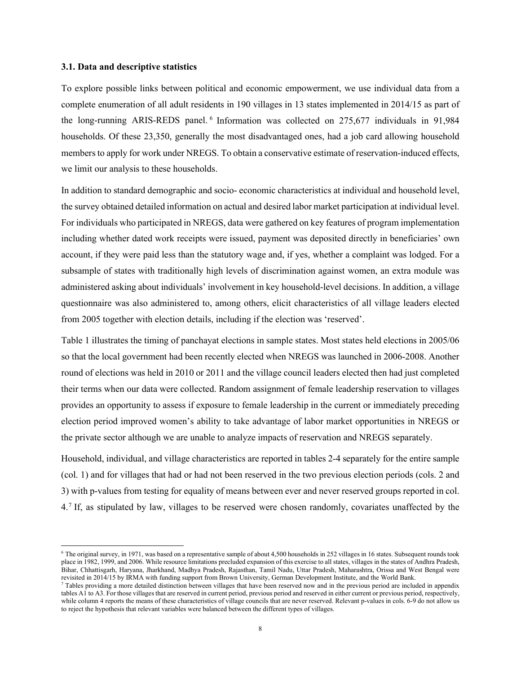#### **3.1. Data and descriptive statistics**

To explore possible links between political and economic empowerment, we use individual data from a complete enumeration of all adult residents in 190 villages in 13 states implemented in 2014/15 as part of the long-running ARIS-REDS panel. [6](#page-9-0) Information was collected on 275,677 individuals in 91,984 households. Of these 23,350, generally the most disadvantaged ones, had a job card allowing household members to apply for work under NREGS. To obtain a conservative estimate of reservation-induced effects, we limit our analysis to these households.

In addition to standard demographic and socio- economic characteristics at individual and household level, the survey obtained detailed information on actual and desired labor market participation at individual level. For individuals who participated in NREGS, data were gathered on key features of program implementation including whether dated work receipts were issued, payment was deposited directly in beneficiaries' own account, if they were paid less than the statutory wage and, if yes, whether a complaint was lodged. For a subsample of states with traditionally high levels of discrimination against women, an extra module was administered asking about individuals' involvement in key household-level decisions. In addition, a village questionnaire was also administered to, among others, elicit characteristics of all village leaders elected from 2005 together with election details, including if the election was 'reserved'.

Table 1 illustrates the timing of panchayat elections in sample states. Most states held elections in 2005/06 so that the local government had been recently elected when NREGS was launched in 2006-2008. Another round of elections was held in 2010 or 2011 and the village council leaders elected then had just completed their terms when our data were collected. Random assignment of female leadership reservation to villages provides an opportunity to assess if exposure to female leadership in the current or immediately preceding election period improved women's ability to take advantage of labor market opportunities in NREGS or the private sector although we are unable to analyze impacts of reservation and NREGS separately.

Household, individual, and village characteristics are reported in tables 2-4 separately for the entire sample (col. 1) and for villages that had or had not been reserved in the two previous election periods (cols. 2 and 3) with p-values from testing for equality of means between ever and never reserved groups reported in col. 4.[7](#page-9-1) If, as stipulated by law, villages to be reserved were chosen randomly, covariates unaffected by the

<span id="page-9-0"></span> $6$  The original survey, in 1971, was based on a representative sample of about 4,500 households in 252 villages in 16 states. Subsequent rounds took place in 1982, 1999, and 2006. While resource limitations precluded expansion of this exercise to all states, villages in the states of Andhra Pradesh, Bihar, Chhattisgarh, Haryana, Jharkhand, Madhya Pradesh, Rajasthan, Tamil Nadu, Uttar Pradesh, Maharashtra, Orissa and West Bengal were

<span id="page-9-1"></span> $\tau$  Tables providing a more detailed distinction between villages that have been reserved now and in the previous period are included in appendix tables A1 to A3. For those villages that are reserved in current period, previous period and reserved in either current or previous period, respectively, while column 4 reports the means of these characteristics of village councils that are never reserved. Relevant p-values in cols. 6-9 do not allow us to reject the hypothesis that relevant variables were balanced between the different types of villages.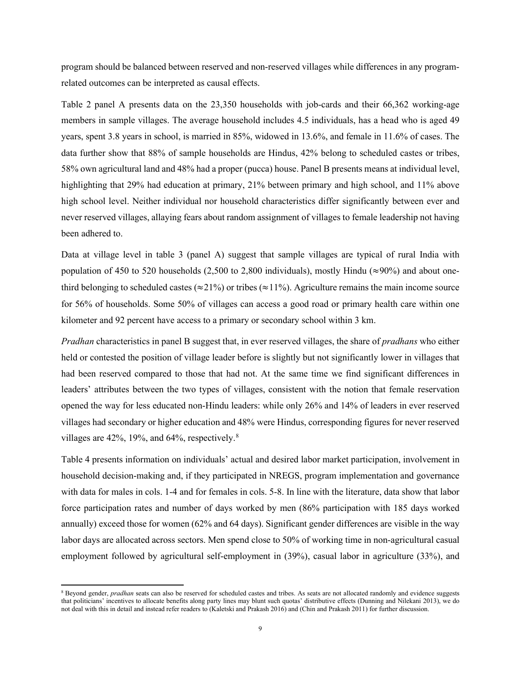program should be balanced between reserved and non-reserved villages while differences in any programrelated outcomes can be interpreted as causal effects.

Table 2 panel A presents data on the 23,350 households with job-cards and their 66,362 working-age members in sample villages. The average household includes 4.5 individuals, has a head who is aged 49 years, spent 3.8 years in school, is married in 85%, widowed in 13.6%, and female in 11.6% of cases. The data further show that 88% of sample households are Hindus, 42% belong to scheduled castes or tribes, 58% own agricultural land and 48% had a proper (pucca) house. Panel B presents means at individual level, highlighting that 29% had education at primary, 21% between primary and high school, and 11% above high school level. Neither individual nor household characteristics differ significantly between ever and never reserved villages, allaying fears about random assignment of villages to female leadership not having been adhered to.

Data at village level in table 3 (panel A) suggest that sample villages are typical of rural India with population of 450 to 520 households (2,500 to 2,800 individuals), mostly Hindu ( $\approx$ 90%) and about onethird belonging to scheduled castes ( $\approx$ 21%) or tribes ( $\approx$ 11%). Agriculture remains the main income source for 56% of households. Some 50% of villages can access a good road or primary health care within one kilometer and 92 percent have access to a primary or secondary school within 3 km.

*Pradhan* characteristics in panel B suggest that, in ever reserved villages, the share of *pradhans* who either held or contested the position of village leader before is slightly but not significantly lower in villages that had been reserved compared to those that had not. At the same time we find significant differences in leaders' attributes between the two types of villages, consistent with the notion that female reservation opened the way for less educated non-Hindu leaders: while only 26% and 14% of leaders in ever reserved villages had secondary or higher education and 48% were Hindus, corresponding figures for never reserved villages are 42%, 19%, and 64%, respectively.<sup>[8](#page-10-0)</sup>

Table 4 presents information on individuals' actual and desired labor market participation, involvement in household decision-making and, if they participated in NREGS, program implementation and governance with data for males in cols. 1-4 and for females in cols. 5-8. In line with the literature, data show that labor force participation rates and number of days worked by men (86% participation with 185 days worked annually) exceed those for women (62% and 64 days). Significant gender differences are visible in the way labor days are allocated across sectors. Men spend close to 50% of working time in non-agricultural casual employment followed by agricultural self-employment in (39%), casual labor in agriculture (33%), and

<span id="page-10-0"></span><sup>8</sup> Beyond gender, *pradhan* seats can also be reserved for scheduled castes and tribes. As seats are not allocated randomly and evidence suggests that politicians' incentives to allocate benefits along party lines may blunt such quotas' distributive effects [\(Dunning and Nilekani 2013\)](#page-32-18), we do not deal with this in detail and instead refer readers to [\(Kaletski and Prakash 2016\)](#page-32-19) and [\(Chin and Prakash 2011\)](#page-31-18) for further discussion.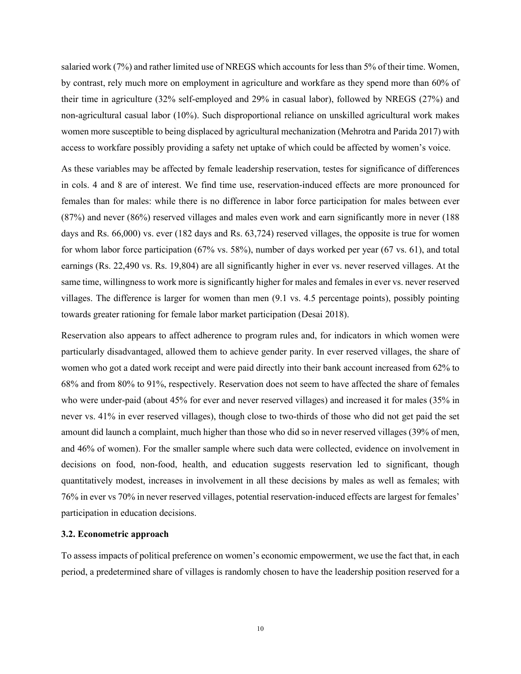salaried work (7%) and rather limited use of NREGS which accounts for less than 5% of their time. Women, by contrast, rely much more on employment in agriculture and workfare as they spend more than 60% of their time in agriculture (32% self-employed and 29% in casual labor), followed by NREGS (27%) and non-agricultural casual labor (10%). Such disproportional reliance on unskilled agricultural work makes women more susceptible to being displaced by agricultural mechanization [\(Mehrotra and Parida 2017\)](#page-33-2) with access to workfare possibly providing a safety net uptake of which could be affected by women's voice.

As these variables may be affected by female leadership reservation, testes for significance of differences in cols. 4 and 8 are of interest. We find time use, reservation-induced effects are more pronounced for females than for males: while there is no difference in labor force participation for males between ever (87%) and never (86%) reserved villages and males even work and earn significantly more in never (188 days and Rs. 66,000) vs. ever (182 days and Rs. 63,724) reserved villages, the opposite is true for women for whom labor force participation (67% vs. 58%), number of days worked per year (67 vs. 61), and total earnings (Rs. 22,490 vs. Rs. 19,804) are all significantly higher in ever vs. never reserved villages. At the same time, willingness to work more is significantly higher for males and females in ever vs. never reserved villages. The difference is larger for women than men (9.1 vs. 4.5 percentage points), possibly pointing towards greater rationing for female labor market participation [\(Desai 2018\)](#page-31-3).

Reservation also appears to affect adherence to program rules and, for indicators in which women were particularly disadvantaged, allowed them to achieve gender parity. In ever reserved villages, the share of women who got a dated work receipt and were paid directly into their bank account increased from 62% to 68% and from 80% to 91%, respectively. Reservation does not seem to have affected the share of females who were under-paid (about 45% for ever and never reserved villages) and increased it for males (35% in never vs. 41% in ever reserved villages), though close to two-thirds of those who did not get paid the set amount did launch a complaint, much higher than those who did so in never reserved villages (39% of men, and 46% of women). For the smaller sample where such data were collected, evidence on involvement in decisions on food, non-food, health, and education suggests reservation led to significant, though quantitatively modest, increases in involvement in all these decisions by males as well as females; with 76% in ever vs 70% in never reserved villages, potential reservation-induced effects are largest for females' participation in education decisions.

#### **3.2. Econometric approach**

To assess impacts of political preference on women's economic empowerment, we use the fact that, in each period, a predetermined share of villages is randomly chosen to have the leadership position reserved for a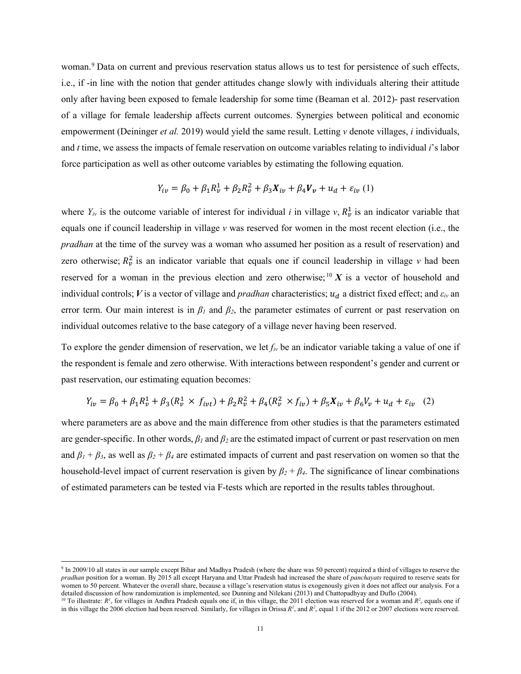woman.<sup>[9](#page-12-0)</sup> Data on current and previous reservation status allows us to test for persistence of such effects, i.e., if -in line with the notion that gender attitudes change slowly with individuals altering their attitude only after having been exposed to female leadership for some time [\(Beaman](#page-31-7) et al. 2012)- past reservation of a village for female leadership affects current outcomes. Synergies between political and economic empowerment [\(Deininger](#page-31-6) *et al.* 2019) would yield the same result. Letting *v* denote villages, *i* individuals, and *t* time, we assess the impacts of female reservation on outcome variables relating to individual *i*'s labor force participation as well as other outcome variables by estimating the following equation.

$$
Y_{iv} = \beta_0 + \beta_1 R_v^1 + \beta_2 R_v^2 + \beta_3 X_{iv} + \beta_4 V_v + u_d + \varepsilon_{iv} (1)
$$

where  $Y_{iv}$  is the outcome variable of interest for individual *i* in village *v*,  $R_v^1$  is an indicator variable that equals one if council leadership in village *v* was reserved for women in the most recent election (i.e., the *pradhan* at the time of the survey was a woman who assumed her position as a result of reservation) and zero otherwise;  $R_v^2$  is an indicator variable that equals one if council leadership in village *v* had been reserved for a woman in the previous election and zero otherwise;  $^{10}$  $^{10}$  $^{10}$  X is a vector of household and individual controls; *V* is a vector of village and *pradhan* characteristics;  $u_d$  a district fixed effect; and  $\varepsilon_{iv}$  an error term. Our main interest is in  $\beta_l$  and  $\beta_2$ , the parameter estimates of current or past reservation on individual outcomes relative to the base category of a village never having been reserved.

To explore the gender dimension of reservation, we let *fiv* be an indicator variable taking a value of one if the respondent is female and zero otherwise. With interactions between respondent's gender and current or past reservation, our estimating equation becomes:

$$
Y_{iv} = \beta_0 + \beta_1 R_v^1 + \beta_3 (R_v^1 \times f_{ivt}) + \beta_2 R_v^2 + \beta_4 (R_v^2 \times f_{iv}) + \beta_5 X_{iv} + \beta_6 V_v + u_d + \varepsilon_{iv} \tag{2}
$$

where parameters are as above and the main difference from other studies is that the parameters estimated are gender-specific. In other words, *β<sup>1</sup>* and *β<sup>2</sup>* are the estimated impact of current or past reservation on men and  $\beta_1 + \beta_3$ , as well as  $\beta_2 + \beta_4$  are estimated impacts of current and past reservation on women so that the household-level impact of current reservation is given by  $\beta_2 + \beta_4$ . The significance of linear combinations of estimated parameters can be tested via F-tests which are reported in the results tables throughout.

<span id="page-12-0"></span><sup>&</sup>lt;sup>9</sup> In 2009/10 all states in our sample except Bihar and Madhya Pradesh (where the share was 50 percent) required a third of villages to reserve the *pradhan* position for a woman. By 2015 all except Haryana and Uttar Pradesh had increased the share of *panchayats* required to reserve seats for women to 50 percent. Whatever the overall share, because a village's reservation status is exogenously given it does not affect our analysis. For a detailed discussion of how randomization is implemented, see Dunning and Nilekani (2013) and Chattopadhyay and Duflo (2004).

<span id="page-12-1"></span><sup>&</sup>lt;sup>10</sup> To illustrate:  $R^1$ , for villages in Andhra Pradesh equals one if, in this village, the 2011 election was reserved for a woman and  $R^2$ , equals one if in this village the 2006 election had been reserved. Similarly, for villages in Orissa  $R^1$ <sub>v</sub> and  $R^2$ <sub>v</sub> equal 1 if the 2012 or 2007 elections were reserved.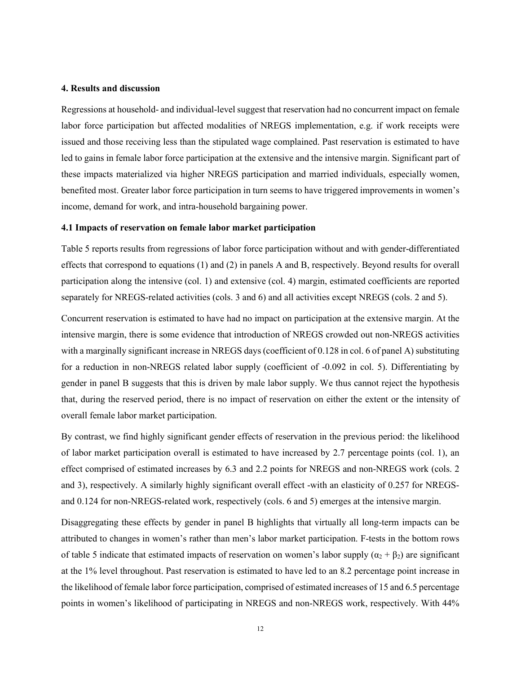### **4. Results and discussion**

Regressions at household- and individual-level suggest that reservation had no concurrent impact on female labor force participation but affected modalities of NREGS implementation, e.g. if work receipts were issued and those receiving less than the stipulated wage complained. Past reservation is estimated to have led to gains in female labor force participation at the extensive and the intensive margin. Significant part of these impacts materialized via higher NREGS participation and married individuals, especially women, benefited most. Greater labor force participation in turn seems to have triggered improvements in women's income, demand for work, and intra-household bargaining power.

#### **4.1 Impacts of reservation on female labor market participation**

Table 5 reports results from regressions of labor force participation without and with gender-differentiated effects that correspond to equations (1) and (2) in panels A and B, respectively. Beyond results for overall participation along the intensive (col. 1) and extensive (col. 4) margin, estimated coefficients are reported separately for NREGS-related activities (cols. 3 and 6) and all activities except NREGS (cols. 2 and 5).

Concurrent reservation is estimated to have had no impact on participation at the extensive margin. At the intensive margin, there is some evidence that introduction of NREGS crowded out non-NREGS activities with a marginally significant increase in NREGS days (coefficient of 0.128 in col. 6 of panel A) substituting for a reduction in non-NREGS related labor supply (coefficient of -0.092 in col. 5). Differentiating by gender in panel B suggests that this is driven by male labor supply. We thus cannot reject the hypothesis that, during the reserved period, there is no impact of reservation on either the extent or the intensity of overall female labor market participation.

By contrast, we find highly significant gender effects of reservation in the previous period: the likelihood of labor market participation overall is estimated to have increased by 2.7 percentage points (col. 1), an effect comprised of estimated increases by 6.3 and 2.2 points for NREGS and non-NREGS work (cols. 2 and 3), respectively. A similarly highly significant overall effect -with an elasticity of 0.257 for NREGSand 0.124 for non-NREGS-related work, respectively (cols. 6 and 5) emerges at the intensive margin.

Disaggregating these effects by gender in panel B highlights that virtually all long-term impacts can be attributed to changes in women's rather than men's labor market participation. F-tests in the bottom rows of table 5 indicate that estimated impacts of reservation on women's labor supply  $(\alpha_2 + \beta_2)$  are significant at the 1% level throughout. Past reservation is estimated to have led to an 8.2 percentage point increase in the likelihood of female labor force participation, comprised of estimated increases of 15 and 6.5 percentage points in women's likelihood of participating in NREGS and non-NREGS work, respectively. With 44%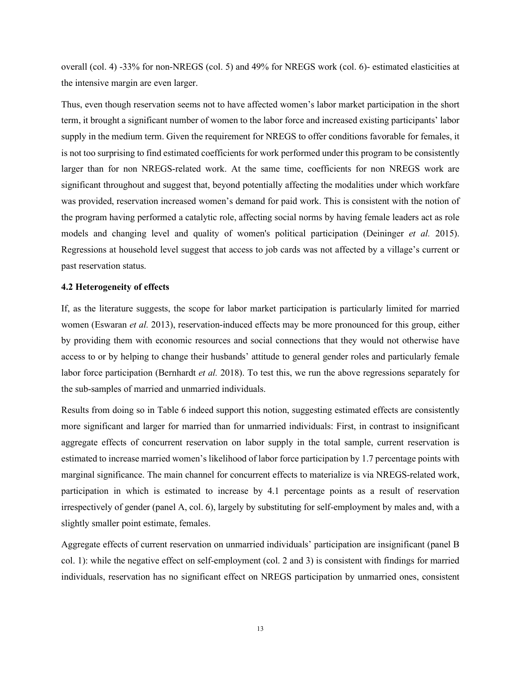overall (col. 4) -33% for non-NREGS (col. 5) and 49% for NREGS work (col. 6)- estimated elasticities at the intensive margin are even larger.

Thus, even though reservation seems not to have affected women's labor market participation in the short term, it brought a significant number of women to the labor force and increased existing participants' labor supply in the medium term. Given the requirement for NREGS to offer conditions favorable for females, it is not too surprising to find estimated coefficients for work performed under this program to be consistently larger than for non NREGS-related work. At the same time, coefficients for non NREGS work are significant throughout and suggest that, beyond potentially affecting the modalities under which workfare was provided, reservation increased women's demand for paid work. This is consistent with the notion of the program having performed a catalytic role, affecting social norms by having female leaders act as role models and changing level and quality of women's political participation [\(Deininger](#page-31-17) *et al.* 2015). Regressions at household level suggest that access to job cards was not affected by a village's current or past reservation status.

#### **4.2 Heterogeneity of effects**

If, as the literature suggests, the scope for labor market participation is particularly limited for married women [\(Eswaran](#page-32-1) *et al.* 2013), reservation-induced effects may be more pronounced for this group, either by providing them with economic resources and social connections that they would not otherwise have access to or by helping to change their husbands' attitude to general gender roles and particularly female labor force participation [\(Bernhardt](#page-31-4) *et al.* 2018). To test this, we run the above regressions separately for the sub-samples of married and unmarried individuals.

Results from doing so in Table 6 indeed support this notion, suggesting estimated effects are consistently more significant and larger for married than for unmarried individuals: First, in contrast to insignificant aggregate effects of concurrent reservation on labor supply in the total sample, current reservation is estimated to increase married women's likelihood of labor force participation by 1.7 percentage points with marginal significance. The main channel for concurrent effects to materialize is via NREGS-related work, participation in which is estimated to increase by 4.1 percentage points as a result of reservation irrespectively of gender (panel A, col. 6), largely by substituting for self-employment by males and, with a slightly smaller point estimate, females.

Aggregate effects of current reservation on unmarried individuals' participation are insignificant (panel B col. 1): while the negative effect on self-employment (col. 2 and 3) is consistent with findings for married individuals, reservation has no significant effect on NREGS participation by unmarried ones, consistent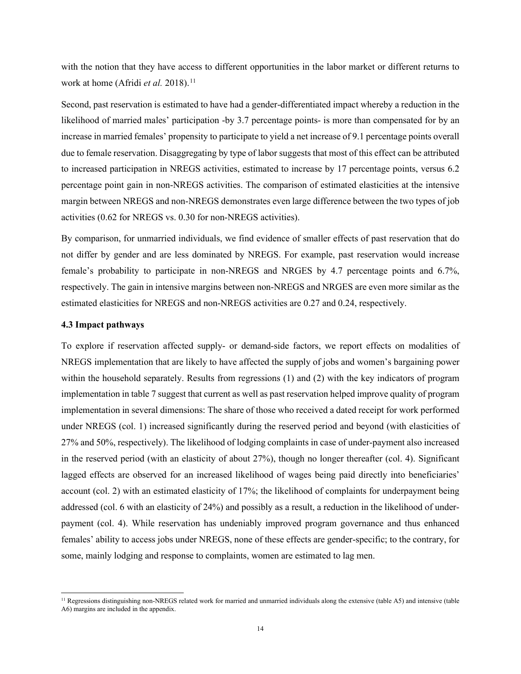with the notion that they have access to different opportunities in the labor market or different returns to work at home [\(Afridi](#page-31-2) *et al.* 2018). [11](#page-15-0)

Second, past reservation is estimated to have had a gender-differentiated impact whereby a reduction in the likelihood of married males' participation -by 3.7 percentage points- is more than compensated for by an increase in married females' propensity to participate to yield a net increase of 9.1 percentage points overall due to female reservation. Disaggregating by type of labor suggests that most of this effect can be attributed to increased participation in NREGS activities, estimated to increase by 17 percentage points, versus 6.2 percentage point gain in non-NREGS activities. The comparison of estimated elasticities at the intensive margin between NREGS and non-NREGS demonstrates even large difference between the two types of job activities (0.62 for NREGS vs. 0.30 for non-NREGS activities).

By comparison, for unmarried individuals, we find evidence of smaller effects of past reservation that do not differ by gender and are less dominated by NREGS. For example, past reservation would increase female's probability to participate in non-NREGS and NRGES by 4.7 percentage points and 6.7%, respectively. The gain in intensive margins between non-NREGS and NRGES are even more similar as the estimated elasticities for NREGS and non-NREGS activities are 0.27 and 0.24, respectively.

#### **4.3 Impact pathways**

To explore if reservation affected supply- or demand-side factors, we report effects on modalities of NREGS implementation that are likely to have affected the supply of jobs and women's bargaining power within the household separately. Results from regressions (1) and (2) with the key indicators of program implementation in table 7 suggest that current as well as past reservation helped improve quality of program implementation in several dimensions: The share of those who received a dated receipt for work performed under NREGS (col. 1) increased significantly during the reserved period and beyond (with elasticities of 27% and 50%, respectively). The likelihood of lodging complaints in case of under-payment also increased in the reserved period (with an elasticity of about 27%), though no longer thereafter (col. 4). Significant lagged effects are observed for an increased likelihood of wages being paid directly into beneficiaries' account (col. 2) with an estimated elasticity of 17%; the likelihood of complaints for underpayment being addressed (col. 6 with an elasticity of 24%) and possibly as a result, a reduction in the likelihood of underpayment (col. 4). While reservation has undeniably improved program governance and thus enhanced females' ability to access jobs under NREGS, none of these effects are gender-specific; to the contrary, for some, mainly lodging and response to complaints, women are estimated to lag men.

<span id="page-15-0"></span> $<sup>11</sup>$  Regressions distinguishing non-NREGS related work for married and unmarried individuals along the extensive (table A5) and intensive (table</sup> A6) margins are included in the appendix.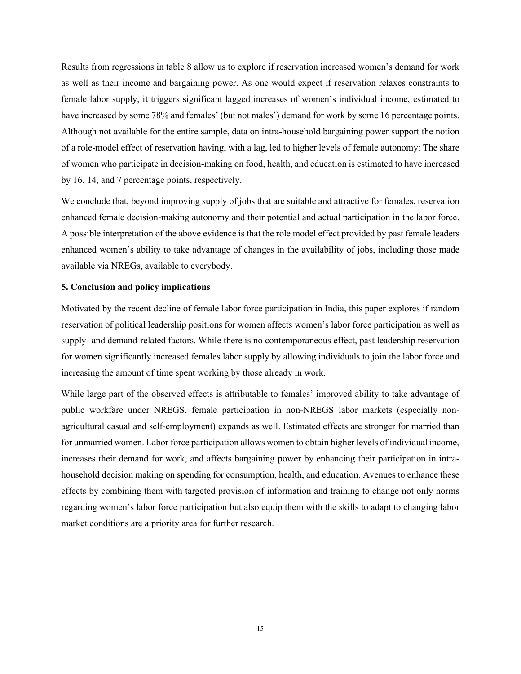Results from regressions in table 8 allow us to explore if reservation increased women's demand for work as well as their income and bargaining power. As one would expect if reservation relaxes constraints to female labor supply, it triggers significant lagged increases of women's individual income, estimated to have increased by some 78% and females' (but not males') demand for work by some 16 percentage points. Although not available for the entire sample, data on intra-household bargaining power support the notion of a role-model effect of reservation having, with a lag, led to higher levels of female autonomy: The share of women who participate in decision-making on food, health, and education is estimated to have increased by 16, 14, and 7 percentage points, respectively.

We conclude that, beyond improving supply of jobs that are suitable and attractive for females, reservation enhanced female decision-making autonomy and their potential and actual participation in the labor force. A possible interpretation of the above evidence is that the role model effect provided by past female leaders enhanced women's ability to take advantage of changes in the availability of jobs, including those made available via NREGs, available to everybody.

#### **5. Conclusion and policy implications**

Motivated by the recent decline of female labor force participation in India, this paper explores if random reservation of political leadership positions for women affects women's labor force participation as well as supply- and demand-related factors. While there is no contemporaneous effect, past leadership reservation for women significantly increased females labor supply by allowing individuals to join the labor force and increasing the amount of time spent working by those already in work.

While large part of the observed effects is attributable to females' improved ability to take advantage of public workfare under NREGS, female participation in non-NREGS labor markets (especially nonagricultural casual and self-employment) expands as well. Estimated effects are stronger for married than for unmarried women. Labor force participation allows women to obtain higher levels of individual income, increases their demand for work, and affects bargaining power by enhancing their participation in intrahousehold decision making on spending for consumption, health, and education. Avenues to enhance these effects by combining them with targeted provision of information and training to change not only norms regarding women's labor force participation but also equip them with the skills to adapt to changing labor market conditions are a priority area for further research.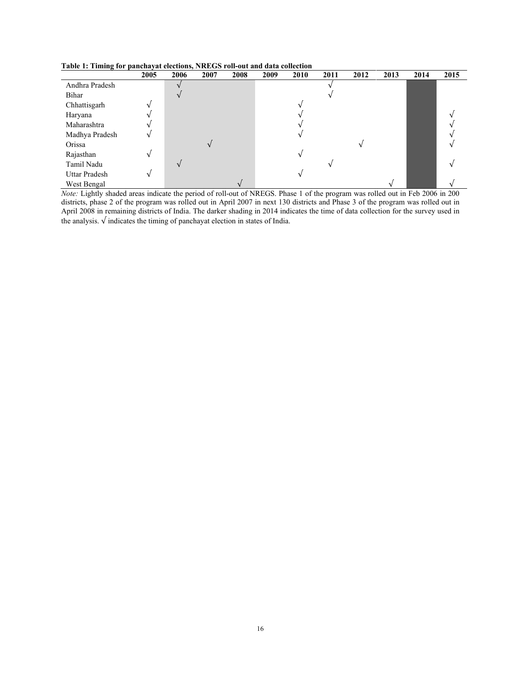**Table 1: Timing for panchayat elections, NREGS roll-out and data collection**

|                | 2005 | 2006 | 2007 | 2008 | 2009 | 2010 | 2011 | 2012 | 2013 | 2014 | 2015 |
|----------------|------|------|------|------|------|------|------|------|------|------|------|
| Andhra Pradesh |      |      |      |      |      |      |      |      |      |      |      |
| Bihar          |      |      |      |      |      |      |      |      |      |      |      |
| Chhattisgarh   |      |      |      |      |      |      |      |      |      |      |      |
| Haryana        |      |      |      |      |      |      |      |      |      |      |      |
| Maharashtra    |      |      |      |      |      |      |      |      |      |      |      |
| Madhya Pradesh |      |      |      |      |      |      |      |      |      |      |      |
| Orissa         |      |      |      |      |      |      |      |      |      |      |      |
| Rajasthan      |      |      |      |      |      |      |      |      |      |      |      |
| Tamil Nadu     |      |      |      |      |      |      |      |      |      |      |      |
| Uttar Pradesh  |      |      |      |      |      |      |      |      |      |      |      |
| West Bengal    |      |      |      |      |      |      |      |      |      |      |      |

*Note:* Lightly shaded areas indicate the period of roll-out of NREGS. Phase 1 of the program was rolled out in Feb 2006 in 200 districts, phase 2 of the program was rolled out in April 2007 in next 130 districts and Phase 3 of the program was rolled out in April 2008 in remaining districts of India. The darker shading in 2014 indicates the time of data collection for the survey used in the analysis. √ indicates the timing of panchayat election in states of India.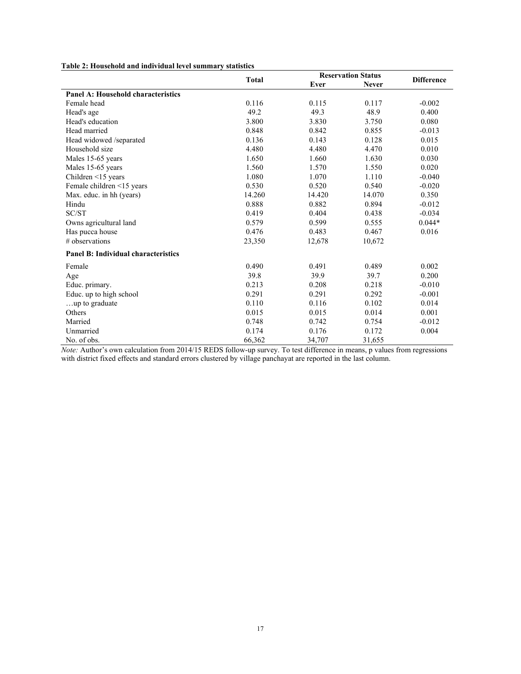|  |  | Table 2: Household and individual level summary statistics |
|--|--|------------------------------------------------------------|
|--|--|------------------------------------------------------------|

|                                            | <b>Total</b> |        | <b>Reservation Status</b> |                   |  |
|--------------------------------------------|--------------|--------|---------------------------|-------------------|--|
|                                            |              | Ever   | <b>Never</b>              | <b>Difference</b> |  |
| <b>Panel A: Household characteristics</b>  |              |        |                           |                   |  |
| Female head                                | 0.116        | 0.115  | 0.117                     | $-0.002$          |  |
| Head's age                                 | 49.2         | 49.3   | 48.9                      | 0.400             |  |
| Head's education                           | 3.800        | 3.830  | 3.750                     | 0.080             |  |
| Head married                               | 0.848        | 0.842  | 0.855                     | $-0.013$          |  |
| Head widowed /separated                    | 0.136        | 0.143  | 0.128                     | 0.015             |  |
| Household size                             | 4.480        | 4.480  | 4.470                     | 0.010             |  |
| Males 15-65 years                          | 1.650        | 1.660  | 1.630                     | 0.030             |  |
| Males 15-65 years                          | 1.560        | 1.570  | 1.550                     | 0.020             |  |
| Children <15 years                         | 1.080        | 1.070  | 1.110                     | $-0.040$          |  |
| Female children <15 years                  | 0.530        | 0.520  | 0.540                     | $-0.020$          |  |
| Max. educ. in hh (years)                   | 14.260       | 14.420 | 14.070                    | 0.350             |  |
| Hindu                                      | 0.888        | 0.882  | 0.894                     | $-0.012$          |  |
| SC/ST                                      | 0.419        | 0.404  | 0.438                     | $-0.034$          |  |
| Owns agricultural land                     | 0.579        | 0.599  | 0.555                     | $0.044*$          |  |
| Has pucca house                            | 0.476        | 0.483  | 0.467                     | 0.016             |  |
| # observations                             | 23,350       | 12,678 | 10,672                    |                   |  |
| <b>Panel B: Individual characteristics</b> |              |        |                           |                   |  |
| Female                                     | 0.490        | 0.491  | 0.489                     | 0.002             |  |
| Age                                        | 39.8         | 39.9   | 39.7                      | 0.200             |  |
| Educ. primary.                             | 0.213        | 0.208  | 0.218                     | $-0.010$          |  |
| Educ. up to high school                    | 0.291        | 0.291  | 0.292                     | $-0.001$          |  |
| up to graduate                             | 0.110        | 0.116  | 0.102                     | 0.014             |  |
| Others                                     | 0.015        | 0.015  | 0.014                     | 0.001             |  |
| Married                                    | 0.748        | 0.742  | 0.754                     | $-0.012$          |  |
| Unmarried                                  | 0.174        | 0.176  | 0.172                     | 0.004             |  |
| No. of obs.                                | 66,362       | 34,707 | 31,655                    |                   |  |

*Note:* Author's own calculation from 2014/15 REDS follow-up survey. To test difference in means, p values from regressions with district fixed effects and standard errors clustered by village panchayat are reported in the last column.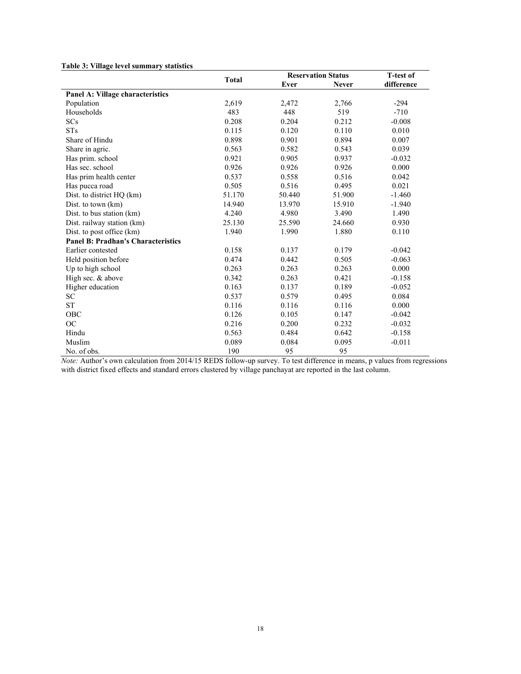#### **Table 3: Village level summary statistics**

|                                           | Total  |        | <b>Reservation Status</b> | T-test of  |  |
|-------------------------------------------|--------|--------|---------------------------|------------|--|
|                                           |        | Ever   | <b>Never</b>              | difference |  |
| Panel A: Village characteristics          |        |        |                           |            |  |
| Population                                | 2,619  | 2,472  | 2,766                     | $-294$     |  |
| Households                                | 483    | 448    | 519                       | $-710$     |  |
| SCs                                       | 0.208  | 0.204  | 0.212                     | $-0.008$   |  |
| <b>STs</b>                                | 0.115  | 0.120  | 0.110                     | 0.010      |  |
| Share of Hindu                            | 0.898  | 0.901  | 0.894                     | 0.007      |  |
| Share in agric.                           | 0.563  | 0.582  | 0.543                     | 0.039      |  |
| Has prim. school                          | 0.921  | 0.905  | 0.937                     | $-0.032$   |  |
| Has sec. school                           | 0.926  | 0.926  | 0.926                     | 0.000      |  |
| Has prim health center                    | 0.537  | 0.558  | 0.516                     | 0.042      |  |
| Has pucca road                            | 0.505  | 0.516  | 0.495                     | 0.021      |  |
| Dist. to district HQ (km)                 | 51.170 | 50.440 | 51.900                    | $-1.460$   |  |
| Dist. to town (km)                        | 14.940 | 13.970 | 15.910                    | $-1.940$   |  |
| Dist. to bus station (km)                 | 4.240  | 4.980  | 3.490                     | 1.490      |  |
| Dist. railway station (km)                | 25.130 | 25.590 | 24.660                    | 0.930      |  |
| Dist. to post office (km)                 | 1.940  | 1.990  | 1.880                     | 0.110      |  |
| <b>Panel B: Pradhan's Characteristics</b> |        |        |                           |            |  |
| Earlier contested                         | 0.158  | 0.137  | 0.179                     | $-0.042$   |  |
| Held position before                      | 0.474  | 0.442  | 0.505                     | $-0.063$   |  |
| Up to high school                         | 0.263  | 0.263  | 0.263                     | 0.000      |  |
| High sec. & above                         | 0.342  | 0.263  | 0.421                     | $-0.158$   |  |
| Higher education                          | 0.163  | 0.137  | 0.189                     | $-0.052$   |  |
| <b>SC</b>                                 | 0.537  | 0.579  | 0.495                     | 0.084      |  |
| <b>ST</b>                                 | 0.116  | 0.116  | 0.116                     | 0.000      |  |
| OBC                                       | 0.126  | 0.105  | 0.147                     | $-0.042$   |  |
| <b>OC</b>                                 | 0.216  | 0.200  | 0.232                     | $-0.032$   |  |
| Hindu                                     | 0.563  | 0.484  | 0.642                     | $-0.158$   |  |
| Muslim                                    | 0.089  | 0.084  | 0.095                     | $-0.011$   |  |
| No. of obs.                               | 190    | 95     | 95                        |            |  |

*Note:* Author's own calculation from 2014/15 REDS follow-up survey. To test difference in means, p values from regressions with district fixed effects and standard errors clustered by village panchayat are reported in the last column.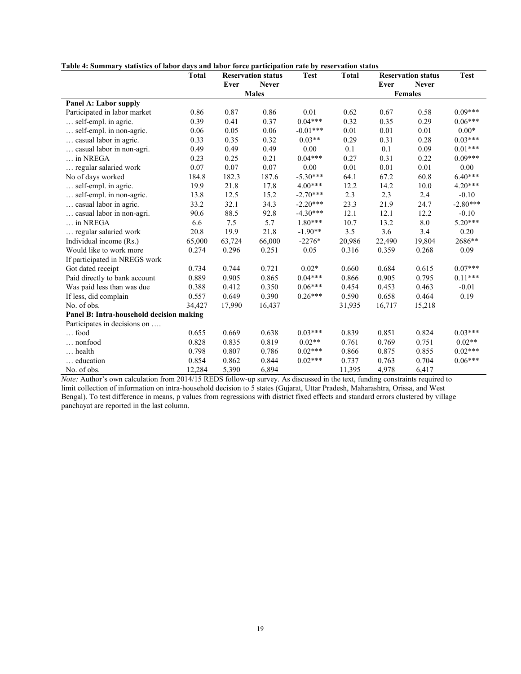|  |  | Table 4: Summary statistics of labor days and labor force participation rate by reservation status |  |  |
|--|--|----------------------------------------------------------------------------------------------------|--|--|
|--|--|----------------------------------------------------------------------------------------------------|--|--|

|                                          | <b>Total</b> | <b>Reservation status</b> |              | <b>Test</b> | <b>Total</b> |        | <b>Reservation status</b> | <b>Test</b> |
|------------------------------------------|--------------|---------------------------|--------------|-------------|--------------|--------|---------------------------|-------------|
|                                          |              | Ever                      | <b>Never</b> |             |              | Ever   | <b>Never</b>              |             |
|                                          |              |                           | <b>Males</b> |             |              |        | <b>Females</b>            |             |
| Panel A: Labor supply                    |              |                           |              |             |              |        |                           |             |
| Participated in labor market             | 0.86         | 0.87                      | 0.86         | 0.01        | 0.62         | 0.67   | 0.58                      | $0.09***$   |
| self-empl. in agric.                     | 0.39         | 0.41                      | 0.37         | $0.04***$   | 0.32         | 0.35   | 0.29                      | $0.06***$   |
| self-empl. in non-agric.                 | 0.06         | 0.05                      | 0.06         | $-0.01***$  | 0.01         | 0.01   | 0.01                      | $0.00*$     |
| casual labor in agric.                   | 0.33         | 0.35                      | 0.32         | $0.03**$    | 0.29         | 0.31   | 0.28                      | $0.03***$   |
| casual labor in non-agri.                | 0.49         | 0.49                      | 0.49         | 0.00        | 0.1          | 0.1    | 0.09                      | $0.01***$   |
| in NREGA                                 | 0.23         | 0.25                      | 0.21         | $0.04***$   | 0.27         | 0.31   | 0.22                      | $0.09***$   |
| regular salaried work                    | 0.07         | 0.07                      | 0.07         | 0.00        | 0.01         | 0.01   | 0.01                      | 0.00        |
| No of days worked                        | 184.8        | 182.3                     | 187.6        | $-5.30***$  | 64.1         | 67.2   | 60.8                      | $6.40***$   |
| self-empl. in agric.                     | 19.9         | 21.8                      | 17.8         | $4.00***$   | 12.2         | 14.2   | 10.0                      | $4.20***$   |
| self-empl. in non-agric.                 | 13.8         | 12.5                      | 15.2         | $-2.70***$  | 2.3          | 2.3    | 2.4                       | $-0.10$     |
| casual labor in agric.                   | 33.2         | 32.1                      | 34.3         | $-2.20***$  | 23.3         | 21.9   | 24.7                      | $-2.80***$  |
| casual labor in non-agri.                | 90.6         | 88.5                      | 92.8         | $-4.30***$  | 12.1         | 12.1   | 12.2                      | $-0.10$     |
| $\ldots$ in NREGA                        | 6.6          | 7.5                       | 5.7          | $1.80***$   | 10.7         | 13.2   | 8.0                       | $5.20***$   |
| regular salaried work                    | 20.8         | 19.9                      | 21.8         | $-1.90**$   | 3.5          | 3.6    | 3.4                       | 0.20        |
| Individual income (Rs.)                  | 65,000       | 63,724                    | 66,000       | $-2276*$    | 20,986       | 22,490 | 19,804                    | 2686**      |
| Would like to work more                  | 0.274        | 0.296                     | 0.251        | 0.05        | 0.316        | 0.359  | 0.268                     | 0.09        |
| If participated in NREGS work            |              |                           |              |             |              |        |                           |             |
| Got dated receipt                        | 0.734        | 0.744                     | 0.721        | $0.02*$     | 0.660        | 0.684  | 0.615                     | $0.07***$   |
| Paid directly to bank account            | 0.889        | 0.905                     | 0.865        | $0.04***$   | 0.866        | 0.905  | 0.795                     | $0.11***$   |
| Was paid less than was due               | 0.388        | 0.412                     | 0.350        | $0.06***$   | 0.454        | 0.453  | 0.463                     | $-0.01$     |
| If less, did complain                    | 0.557        | 0.649                     | 0.390        | $0.26***$   | 0.590        | 0.658  | 0.464                     | 0.19        |
| No. of obs.                              | 34,427       | 17,990                    | 16,437       |             | 31,935       | 16,717 | 15,218                    |             |
| Panel B: Intra-household decision making |              |                           |              |             |              |        |                           |             |
| Participates in decisions on             |              |                           |              |             |              |        |                           |             |
| $\ldots$ food                            | 0.655        | 0.669                     | 0.638        | $0.03***$   | 0.839        | 0.851  | 0.824                     | $0.03***$   |
| nonfood                                  | 0.828        | 0.835                     | 0.819        | $0.02**$    | 0.761        | 0.769  | 0.751                     | $0.02**$    |
| health                                   | 0.798        | 0.807                     | 0.786        | $0.02***$   | 0.866        | 0.875  | 0.855                     | $0.02***$   |
| education                                | 0.854        | 0.862                     | 0.844        | $0.02***$   | 0.737        | 0.763  | 0.704                     | $0.06***$   |
| No. of obs.                              | 12,284       | 5,390                     | 6,894        |             | 11,395       | 4,978  | 6,417                     |             |

*Note:* Author's own calculation from 2014/15 REDS follow-up survey. As discussed in the text, funding constraints required to limit collection of information on intra-household decision to 5 states (Gujarat, Uttar Pradesh, Maharashtra, Orissa, and West Bengal). To test difference in means, p values from regressions with district fixed effects and standard errors clustered by village panchayat are reported in the last column.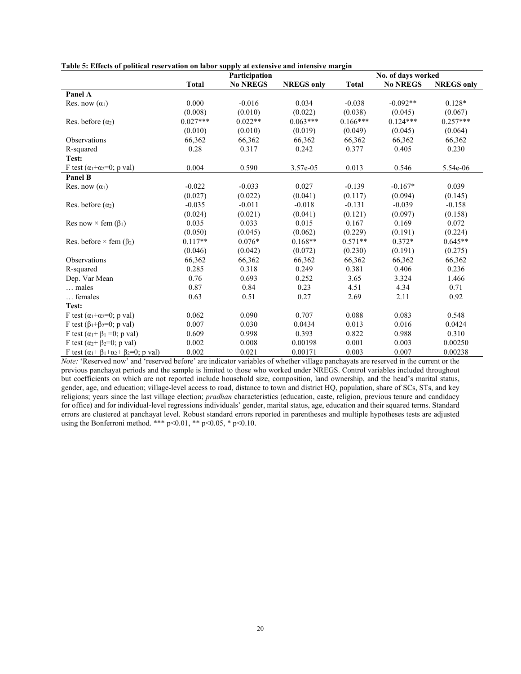|  | Table 5: Effects of political reservation on labor supply at extensive and intensive margin |
|--|---------------------------------------------------------------------------------------------|
|  |                                                                                             |

|                                                                 |              | Participation   |                   |              | No. of days worked |                   |
|-----------------------------------------------------------------|--------------|-----------------|-------------------|--------------|--------------------|-------------------|
|                                                                 | <b>Total</b> | <b>No NREGS</b> | <b>NREGS</b> only | <b>Total</b> | <b>No NREGS</b>    | <b>NREGS</b> only |
| Panel A                                                         |              |                 |                   |              |                    |                   |
| Res. now $(\alpha_1)$                                           | 0.000        | $-0.016$        | 0.034             | $-0.038$     | $-0.092**$         | $0.128*$          |
|                                                                 | (0.008)      | (0.010)         | (0.022)           | (0.038)      | (0.045)            | (0.067)           |
| Res. before $(\alpha_2)$                                        | $0.027***$   | $0.022**$       | $0.063***$        | $0.166***$   | $0.124***$         | $0.257***$        |
|                                                                 | (0.010)      | (0.010)         | (0.019)           | (0.049)      | (0.045)            | (0.064)           |
| Observations                                                    | 66,362       | 66,362          | 66,362            | 66,362       | 66,362             | 66,362            |
| R-squared                                                       | 0.28         | 0.317           | 0.242             | 0.377        | 0.405              | 0.230             |
| Test:                                                           |              |                 |                   |              |                    |                   |
| F test ( $\alpha_1 + \alpha_2 = 0$ ; p val)                     | 0.004        | 0.590           | 3.57e-05          | 0.013        | 0.546              | 5.54e-06          |
| Panel B                                                         |              |                 |                   |              |                    |                   |
| Res. now $(\alpha_1)$                                           | $-0.022$     | $-0.033$        | 0.027             | $-0.139$     | $-0.167*$          | 0.039             |
|                                                                 | (0.027)      | (0.022)         | (0.041)           | (0.117)      | (0.094)            | (0.145)           |
| Res. before $(\alpha_2)$                                        | $-0.035$     | $-0.011$        | $-0.018$          | $-0.131$     | $-0.039$           | $-0.158$          |
|                                                                 | (0.024)      | (0.021)         | (0.041)           | (0.121)      | (0.097)            | (0.158)           |
| Res now $\times$ fem ( $\beta_1$ )                              | 0.035        | 0.033           | 0.015             | 0.167        | 0.169              | 0.072             |
|                                                                 | (0.050)      | (0.045)         | (0.062)           | (0.229)      | (0.191)            | (0.224)           |
| Res. before $\times$ fem ( $\beta_2$ )                          | $0.117**$    | $0.076*$        | $0.168**$         | $0.571**$    | $0.372*$           | $0.645**$         |
|                                                                 | (0.046)      | (0.042)         | (0.072)           | (0.230)      | (0.191)            | (0.275)           |
| <b>Observations</b>                                             | 66,362       | 66,362          | 66,362            | 66,362       | 66,362             | 66,362            |
| R-squared                                                       | 0.285        | 0.318           | 0.249             | 0.381        | 0.406              | 0.236             |
| Dep. Var Mean                                                   | 0.76         | 0.693           | 0.252             | 3.65         | 3.324              | 1.466             |
| males                                                           | 0.87         | 0.84            | 0.23              | 4.51         | 4.34               | 0.71              |
| females                                                         | 0.63         | 0.51            | 0.27              | 2.69         | 2.11               | 0.92              |
| Test:                                                           |              |                 |                   |              |                    |                   |
| F test ( $\alpha_1 + \alpha_2 = 0$ ; p val)                     | 0.062        | 0.090           | 0.707             | 0.088        | 0.083              | 0.548             |
| F test $(\beta_1+\beta_2=0; p \text{ val})$                     | 0.007        | 0.030           | 0.0434            | 0.013        | 0.016              | 0.0424            |
| F test $(\alpha_1 + \beta_1 = 0; p \text{ val})$                | 0.609        | 0.998           | 0.393             | 0.822        | 0.988              | 0.310             |
| F test ( $\alpha_2$ + $\beta_2$ =0; p val)                      | 0.002        | 0.008           | 0.00198           | 0.001        | 0.003              | 0.00250           |
| F test ( $\alpha_1 + \beta_1 + \alpha_2 + \beta_2 = 0$ ; p val) | 0.002        | 0.021           | 0.00171           | 0.003        | 0.007              | 0.00238           |

*Note:* 'Reserved now' and 'reserved before' are indicator variables of whether village panchayats are reserved in the current or the previous panchayat periods and the sample is limited to those who worked under NREGS. Control variables included throughout but coefficients on which are not reported include household size, composition, land ownership, and the head's marital status, gender, age, and education; village-level access to road, distance to town and district HQ, population, share of SCs, STs, and key religions; years since the last village election; *pradhan* characteristics (education, caste, religion, previous tenure and candidacy for office) and for individual-level regressions individuals' gender, marital status, age, education and their squared terms. Standard errors are clustered at panchayat level. Robust standard errors reported in parentheses and multiple hypotheses tests are adjusted using the Bonferroni method. \*\*\* p<0.01, \*\* p<0.05, \* p<0.10.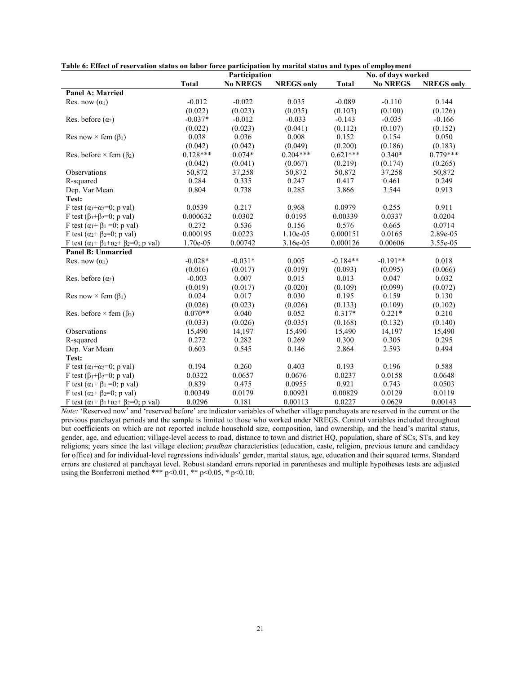|                                                                       |              | Participation   |                   |              | No. of days worked |                   |
|-----------------------------------------------------------------------|--------------|-----------------|-------------------|--------------|--------------------|-------------------|
|                                                                       | <b>Total</b> | <b>No NREGS</b> | <b>NREGS</b> only | <b>Total</b> | <b>No NREGS</b>    | <b>NREGS</b> only |
| Panel A: Married                                                      |              |                 |                   |              |                    |                   |
| Res. now $(\alpha_1)$                                                 | $-0.012$     | $-0.022$        | 0.035             | $-0.089$     | $-0.110$           | 0.144             |
|                                                                       | (0.022)      | (0.023)         | (0.035)           | (0.103)      | (0.100)            | (0.126)           |
| Res. before $(\alpha_2)$                                              | $-0.037*$    | $-0.012$        | $-0.033$          | $-0.143$     | $-0.035$           | $-0.166$          |
|                                                                       | (0.022)      | (0.023)         | (0.041)           | (0.112)      | (0.107)            | (0.152)           |
| Res now $\times$ fem ( $\beta_1$ )                                    | 0.038        | 0.036           | 0.008             | 0.152        | 0.154              | 0.050             |
|                                                                       | (0.042)      | (0.042)         | (0.049)           | (0.200)      | (0.186)            | (0.183)           |
| Res. before $\times$ fem ( $\beta_2$ )                                | $0.128***$   | $0.074*$        | $0.204***$        | $0.621***$   | $0.340*$           | $0.779***$        |
|                                                                       | (0.042)      | (0.041)         | (0.067)           | (0.219)      | (0.174)            | (0.265)           |
| Observations                                                          | 50,872       | 37,258          | 50,872            | 50,872       | 37,258             | 50,872            |
| R-squared                                                             | 0.284        | 0.335           | 0.247             | 0.417        | 0.461              | 0.249             |
| Dep. Var Mean                                                         | 0.804        | 0.738           | 0.285             | 3.866        | 3.544              | 0.913             |
| Test:                                                                 |              |                 |                   |              |                    |                   |
| F test ( $\alpha_1 + \alpha_2 = 0$ ; p val)                           | 0.0539       | 0.217           | 0.968             | 0.0979       | 0.255              | 0.911             |
| F test ( $\beta_1 + \beta_2 = 0$ ; p val)                             | 0.000632     | 0.0302          | 0.0195            | 0.00339      | 0.0337             | 0.0204            |
| F test $(\alpha_1 + \beta_1 = 0; p \text{ val})$                      | 0.272        | 0.536           | 0.156             | 0.576        | 0.665              | 0.0714            |
| F test ( $\alpha_2 + \beta_2 = 0$ ; p val)                            | 0.000195     | 0.0223          | $1.10e-05$        | 0.000151     | 0.0165             | 2.89e-05          |
| F test $(\alpha_1 + \beta_1 + \alpha_2 + \beta_2 = 0; p \text{ val})$ | 1.70e-05     | 0.00742         | 3.16e-05          | 0.000126     | 0.00606            | 3.55e-05          |
| Panel B: Unmarried                                                    |              |                 |                   |              |                    |                   |
| Res. now $(\alpha_1)$                                                 | $-0.028*$    | $-0.031*$       | 0.005             | $-0.184**$   | $-0.191**$         | 0.018             |
|                                                                       | (0.016)      | (0.017)         | (0.019)           | (0.093)      | (0.095)            | (0.066)           |
| Res. before $(\alpha_2)$                                              | $-0.003$     | 0.007           | 0.015             | 0.013        | 0.047              | 0.032             |
|                                                                       | (0.019)      | (0.017)         | (0.020)           | (0.109)      | (0.099)            | (0.072)           |
| Res now $\times$ fem ( $\beta_1$ )                                    | 0.024        | 0.017           | 0.030             | 0.195        | 0.159              | 0.130             |
|                                                                       | (0.026)      | (0.023)         | (0.026)           | (0.133)      | (0.109)            | (0.102)           |
| Res. before $\times$ fem ( $\beta_2$ )                                | $0.070**$    | 0.040           | 0.052             | $0.317*$     | $0.221*$           | 0.210             |
|                                                                       | (0.033)      | (0.026)         | (0.035)           | (0.168)      | (0.132)            | (0.140)           |
| Observations                                                          | 15,490       | 14,197          | 15,490            | 15,490       | 14,197             | 15,490            |
| R-squared                                                             | 0.272        | 0.282           | 0.269             | 0.300        | 0.305              | 0.295             |
| Dep. Var Mean                                                         | 0.603        | 0.545           | 0.146             | 2.864        | 2.593              | 0.494             |
| Test:                                                                 |              |                 |                   |              |                    |                   |
| F test ( $\alpha_1 + \alpha_2 = 0$ ; p val)                           | 0.194        | 0.260           | 0.403             | 0.193        | 0.196              | 0.588             |
| F test $(\beta_1 + \beta_2 = 0; p \text{ val})$                       | 0.0322       | 0.0657          | 0.0676            | 0.0237       | 0.0158             | 0.0648            |
| F test $(\alpha_1 + \beta_1 = 0; p \text{ val})$                      | 0.839        | 0.475           | 0.0955            | 0.921        | 0.743              | 0.0503            |
| F test $(\alpha_2 + \beta_2=0; p \text{ val})$                        | 0.00349      | 0.0179          | 0.00921           | 0.00829      | 0.0129             | 0.0119            |
| F test $(\alpha_1 + \beta_1 + \alpha_2 + \beta_2 = 0; p \text{ val})$ | 0.0296       | 0.181           | 0.00113           | 0.0227       | 0.0629             | 0.00143           |

**Table 6: Effect of reservation status on labor force participation by marital status and types of employment**

*Note:* 'Reserved now' and 'reserved before' are indicator variables of whether village panchayats are reserved in the current or the previous panchayat periods and the sample is limited to those who worked under NREGS. Control variables included throughout but coefficients on which are not reported include household size, composition, land ownership, and the head's marital status, gender, age, and education; village-level access to road, distance to town and district HQ, population, share of SCs, STs, and key religions; years since the last village election; *pradhan* characteristics (education, caste, religion, previous tenure and candidacy for office) and for individual-level regressions individuals' gender, marital status, age, education and their squared terms. Standard errors are clustered at panchayat level. Robust standard errors reported in parentheses and multiple hypotheses tests are adjusted using the Bonferroni method \*\*\*  $p<0.01$ , \*\*  $p<0.05$ , \*  $p<0.10$ .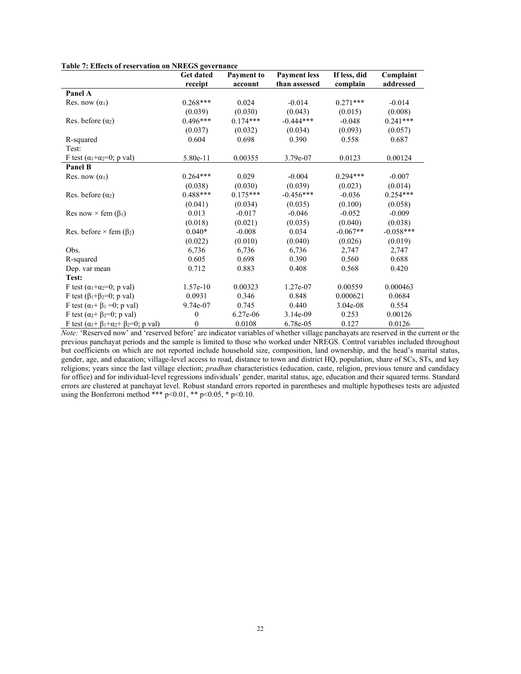|                                                                       | Get dated<br>receipt | <b>Payment to</b><br>account | <b>Payment</b> less<br>than assessed | If less, did<br>complain | Complaint<br>addressed |
|-----------------------------------------------------------------------|----------------------|------------------------------|--------------------------------------|--------------------------|------------------------|
| Panel A                                                               |                      |                              |                                      |                          |                        |
| Res. now $(\alpha_1)$                                                 | $0.268***$           | 0.024                        | $-0.014$                             | $0.271***$               | $-0.014$               |
|                                                                       | (0.039)              | (0.030)                      | (0.043)                              | (0.015)                  | (0.008)                |
| Res. before $(\alpha_2)$                                              | $0.496***$           | $0.174***$                   | $-0.444***$                          | $-0.048$                 | $0.241***$             |
|                                                                       | (0.037)              | (0.032)                      | (0.034)                              | (0.093)                  | (0.057)                |
| R-squared                                                             | 0.604                | 0.698                        | 0.390                                | 0.558                    | 0.687                  |
| Test:                                                                 |                      |                              |                                      |                          |                        |
| F test $(\alpha_1 + \alpha_2 = 0; p \text{ val})$                     | 5.80e-11             | 0.00355                      | 3.79e-07                             | 0.0123                   | 0.00124                |
| Panel B                                                               |                      |                              |                                      |                          |                        |
| Res. now $(\alpha_1)$                                                 | $0.264***$           | 0.029                        | $-0.004$                             | $0.294***$               | $-0.007$               |
|                                                                       | (0.038)              | (0.030)                      | (0.039)                              | (0.023)                  | (0.014)                |
| Res. before $(\alpha_2)$                                              | $0.488***$           | $0.175***$                   | $-0.456***$                          | $-0.036$                 | $0.254***$             |
|                                                                       | (0.041)              | (0.034)                      | (0.035)                              | (0.100)                  | (0.058)                |
| Res now $\times$ fem ( $\beta_1$ )                                    | 0.013                | $-0.017$                     | $-0.046$                             | $-0.052$                 | $-0.009$               |
|                                                                       | (0.018)              | (0.021)                      | (0.035)                              | (0.040)                  | (0.038)                |
| Res. before $\times$ fem ( $\beta$ <sub>2</sub> )                     | $0.040*$             | $-0.008$                     | 0.034                                | $-0.067**$               | $-0.058***$            |
|                                                                       | (0.022)              | (0.010)                      | (0.040)                              | (0.026)                  | (0.019)                |
| Obs.                                                                  | 6,736                | 6,736                        | 6,736                                | 2,747                    | 2,747                  |
| R-squared                                                             | 0.605                | 0.698                        | 0.390                                | 0.560                    | 0.688                  |
| Dep. var mean                                                         | 0.712                | 0.883                        | 0.408                                | 0.568                    | 0.420                  |
| Test:                                                                 |                      |                              |                                      |                          |                        |
| F test ( $\alpha_1 + \alpha_2 = 0$ ; p val)                           | $1.57e-10$           | 0.00323                      | 1.27e-07                             | 0.00559                  | 0.000463               |
| F test $(\beta_1 + \beta_2 = 0; p \text{ val})$                       | 0.0931               | 0.346                        | 0.848                                | 0.000621                 | 0.0684                 |
| F test $(\alpha_1 + \beta_1 = 0; p \text{ val})$                      | 9.74e-07             | 0.745                        | 0.440                                | $3.04e-08$               | 0.554                  |
| F test ( $\alpha_2 + \beta_2 = 0$ ; p val)                            | $\mathbf{0}$         | $6.27e-06$                   | $3.14e-09$                           | 0.253                    | 0.00126                |
| F test $(\alpha_1 + \beta_1 + \alpha_2 + \beta_2 = 0; p \text{ val})$ | $\boldsymbol{0}$     | 0.0108                       | 6.78e-05                             | 0.127                    | 0.0126                 |

**Table 7: Effects of reservation on NREGS governance** 

*Note:* 'Reserved now' and 'reserved before' are indicator variables of whether village panchayats are reserved in the current or the previous panchayat periods and the sample is limited to those who worked under NREGS. Control variables included throughout but coefficients on which are not reported include household size, composition, land ownership, and the head's marital status, gender, age, and education; village-level access to road, distance to town and district HQ, population, share of SCs, STs, and key religions; years since the last village election; *pradhan* characteristics (education, caste, religion, previous tenure and candidacy for office) and for individual-level regressions individuals' gender, marital status, age, education and their squared terms. Standard errors are clustered at panchayat level. Robust standard errors reported in parentheses and multiple hypotheses tests are adjusted using the Bonferroni method \*\*\*  $p<0.01$ , \*\*  $p<0.05$ , \*  $p<0.10$ .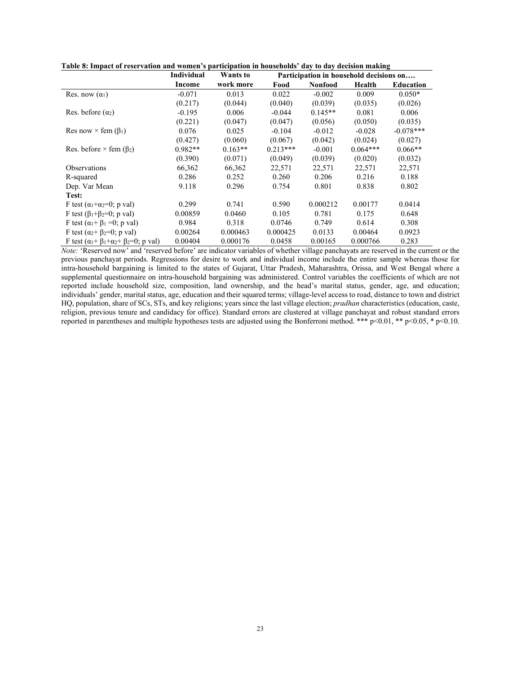|                                                                       | Individual | Wants to  |            | Participation in household decisions on |            |                  |
|-----------------------------------------------------------------------|------------|-----------|------------|-----------------------------------------|------------|------------------|
|                                                                       | Income     | work more | Food       | <b>Nonfood</b>                          | Health     | <b>Education</b> |
| Res. now $(\alpha_1)$                                                 | $-0.071$   | 0.013     | 0.022      | $-0.002$                                | 0.009      | $0.050*$         |
|                                                                       | (0.217)    | (0.044)   | (0.040)    | (0.039)                                 | (0.035)    | (0.026)          |
| Res. before $(\alpha_2)$                                              | $-0.195$   | 0.006     | $-0.044$   | $0.145**$                               | 0.081      | 0.006            |
|                                                                       | (0.221)    | (0.047)   | (0.047)    | (0.056)                                 | (0.050)    | (0.035)          |
| Res now $\times$ fem ( $\beta_1$ )                                    | 0.076      | 0.025     | $-0.104$   | $-0.012$                                | $-0.028$   | $-0.078***$      |
|                                                                       | (0.427)    | (0.060)   | (0.067)    | (0.042)                                 | (0.024)    | (0.027)          |
| Res. before $\times$ fem ( $\beta$ <sub>2</sub> )                     | $0.982**$  | $0.163**$ | $0.213***$ | $-0.001$                                | $0.064***$ | $0.066**$        |
|                                                                       | (0.390)    | (0.071)   | (0.049)    | (0.039)                                 | (0.020)    | (0.032)          |
| <b>Observations</b>                                                   | 66,362     | 66,362    | 22,571     | 22,571                                  | 22,571     | 22,571           |
| R-squared                                                             | 0.286      | 0.252     | 0.260      | 0.206                                   | 0.216      | 0.188            |
| Dep. Var Mean                                                         | 9.118      | 0.296     | 0.754      | 0.801                                   | 0.838      | 0.802            |
| Test:                                                                 |            |           |            |                                         |            |                  |
| F test $(\alpha_1+\alpha_2=0; p \text{ val})$                         | 0.299      | 0.741     | 0.590      | 0.000212                                | 0.00177    | 0.0414           |
| F test $(\beta_1 + \beta_2 = 0; p \text{ val})$                       | 0.00859    | 0.0460    | 0.105      | 0.781                                   | 0.175      | 0.648            |
| F test $(\alpha_1 + \beta_1 = 0; p \text{ val})$                      | 0.984      | 0.318     | 0.0746     | 0.749                                   | 0.614      | 0.308            |
| F test $(\alpha_2 + \beta_2=0; p \text{ val})$                        | 0.00264    | 0.000463  | 0.000425   | 0.0133                                  | 0.00464    | 0.0923           |
| F test $(\alpha_1 + \beta_1 + \alpha_2 + \beta_2 = 0; p \text{ val})$ | 0.00404    | 0.000176  | 0.0458     | 0.00165                                 | 0.000766   | 0.283            |

**Table 8: Impact of reservation and women's participation in households' day to day decision making** 

*Note:* 'Reserved now' and 'reserved before' are indicator variables of whether village panchayats are reserved in the current or the previous panchayat periods. Regressions for desire to work and individual income include the entire sample whereas those for intra-household bargaining is limited to the states of Gujarat, Uttar Pradesh, Maharashtra, Orissa, and West Bengal where a supplemental questionnaire on intra-household bargaining was administered. Control variables the coefficients of which are not reported include household size, composition, land ownership, and the head's marital status, gender, age, and education; individuals' gender, marital status, age, education and their squared terms; village-level access to road, distance to town and district HQ, population, share of SCs, STs, and key religions; years since the last village election; *pradhan* characteristics (education, caste, religion, previous tenure and candidacy for office). Standard errors are clustered at village panchayat and robust standard errors reported in parentheses and multiple hypotheses tests are adjusted using the Bonferroni method. \*\*\* p<0.01, \*\* p<0.05, \* p<0.10.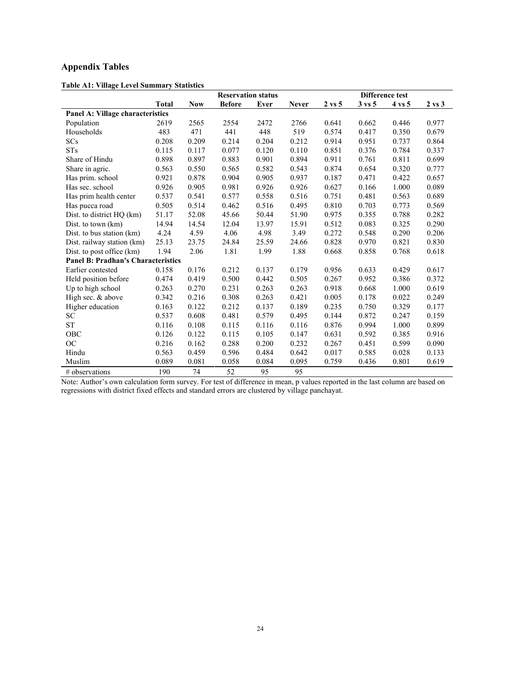## **Appendix Tables**

|                                           |              |            | <b>Reservation status</b> |       |              |                   |                   | Difference test   |                   |
|-------------------------------------------|--------------|------------|---------------------------|-------|--------------|-------------------|-------------------|-------------------|-------------------|
|                                           | <b>Total</b> | <b>Now</b> | <b>Before</b>             | Ever  | <b>Never</b> | $2 \text{ vs } 5$ | $3 \text{ vs } 5$ | $4 \text{ vs } 5$ | $2 \text{ vs } 3$ |
| <b>Panel A: Village characteristics</b>   |              |            |                           |       |              |                   |                   |                   |                   |
| Population                                | 2619         | 2565       | 2554                      | 2472  | 2766         | 0.641             | 0.662             | 0.446             | 0.977             |
| Households                                | 483          | 471        | 441                       | 448   | 519          | 0.574             | 0.417             | 0.350             | 0.679             |
| SCs                                       | 0.208        | 0.209      | 0.214                     | 0.204 | 0.212        | 0.914             | 0.951             | 0.737             | 0.864             |
| <b>STs</b>                                | 0.115        | 0.117      | 0.077                     | 0.120 | 0.110        | 0.851             | 0.376             | 0.784             | 0.337             |
| Share of Hindu                            | 0.898        | 0.897      | 0.883                     | 0.901 | 0.894        | 0.911             | 0.761             | 0.811             | 0.699             |
| Share in agric.                           | 0.563        | 0.550      | 0.565                     | 0.582 | 0.543        | 0.874             | 0.654             | 0.320             | 0.777             |
| Has prim. school                          | 0.921        | 0.878      | 0.904                     | 0.905 | 0.937        | 0.187             | 0.471             | 0.422             | 0.657             |
| Has sec. school                           | 0.926        | 0.905      | 0.981                     | 0.926 | 0.926        | 0.627             | 0.166             | 1.000             | 0.089             |
| Has prim health center                    | 0.537        | 0.541      | 0.577                     | 0.558 | 0.516        | 0.751             | 0.481             | 0.563             | 0.689             |
| Has pucca road                            | 0.505        | 0.514      | 0.462                     | 0.516 | 0.495        | 0.810             | 0.703             | 0.773             | 0.569             |
| Dist. to district HQ (km)                 | 51.17        | 52.08      | 45.66                     | 50.44 | 51.90        | 0.975             | 0.355             | 0.788             | 0.282             |
| Dist. to town (km)                        | 14.94        | 14.54      | 12.04                     | 13.97 | 15.91        | 0.512             | 0.083             | 0.325             | 0.290             |
| Dist. to bus station (km)                 | 4.24         | 4.59       | 4.06                      | 4.98  | 3.49         | 0.272             | 0.548             | 0.290             | 0.206             |
| Dist. railway station (km)                | 25.13        | 23.75      | 24.84                     | 25.59 | 24.66        | 0.828             | 0.970             | 0.821             | 0.830             |
| Dist. to post office (km)                 | 1.94         | 2.06       | 1.81                      | 1.99  | 1.88         | 0.668             | 0.858             | 0.768             | 0.618             |
| <b>Panel B: Pradhan's Characteristics</b> |              |            |                           |       |              |                   |                   |                   |                   |
| Earlier contested                         | 0.158        | 0.176      | 0.212                     | 0.137 | 0.179        | 0.956             | 0.633             | 0.429             | 0.617             |
| Held position before                      | 0.474        | 0.419      | 0.500                     | 0.442 | 0.505        | 0.267             | 0.952             | 0.386             | 0.372             |
| Up to high school                         | 0.263        | 0.270      | 0.231                     | 0.263 | 0.263        | 0.918             | 0.668             | 1.000             | 0.619             |
| High sec. & above                         | 0.342        | 0.216      | 0.308                     | 0.263 | 0.421        | 0.005             | 0.178             | 0.022             | 0.249             |
| Higher education                          | 0.163        | 0.122      | 0.212                     | 0.137 | 0.189        | 0.235             | 0.750             | 0.329             | 0.177             |
| SC                                        | 0.537        | 0.608      | 0.481                     | 0.579 | 0.495        | 0.144             | 0.872             | 0.247             | 0.159             |
| <b>ST</b>                                 | 0.116        | 0.108      | 0.115                     | 0.116 | 0.116        | 0.876             | 0.994             | 1.000             | 0.899             |
| OBC                                       | 0.126        | 0.122      | 0.115                     | 0.105 | 0.147        | 0.631             | 0.592             | 0.385             | 0.916             |
| <b>OC</b>                                 | 0.216        | 0.162      | 0.288                     | 0.200 | 0.232        | 0.267             | 0.451             | 0.599             | 0.090             |
| Hindu                                     | 0.563        | 0.459      | 0.596                     | 0.484 | 0.642        | 0.017             | 0.585             | 0.028             | 0.133             |
| Muslim                                    | 0.089        | 0.081      | 0.058                     | 0.084 | 0.095        | 0.759             | 0.436             | 0.801             | 0.619             |
| # observations                            | 190          | 74         | 52                        | 95    | 95           |                   |                   |                   |                   |

**Table A1: Village Level Summary Statistics**

Note: Author's own calculation form survey. For test of difference in mean, p values reported in the last column are based on regressions with district fixed effects and standard errors are clustered by village panchayat.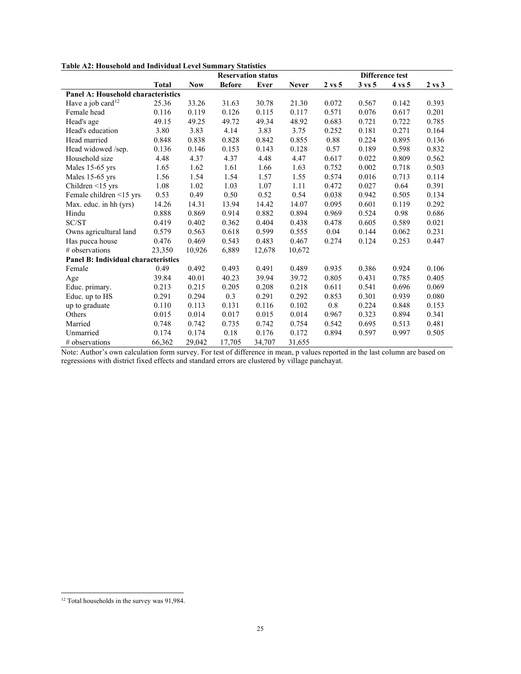|  |  | Table A2: Household and Individual Level Summary Statistics |  |  |  |  |  |
|--|--|-------------------------------------------------------------|--|--|--|--|--|
|--|--|-------------------------------------------------------------|--|--|--|--|--|

|                                            |              |            | <b>Reservation status</b> |        |              |                   |                   | Difference test |                   |
|--------------------------------------------|--------------|------------|---------------------------|--------|--------------|-------------------|-------------------|-----------------|-------------------|
|                                            | <b>Total</b> | <b>Now</b> | <b>Before</b>             | Ever   | <b>Never</b> | $2 \text{ vs } 5$ | $3 \text{ vs } 5$ | 4 vs 5          | $2 \text{ vs } 3$ |
| <b>Panel A: Household characteristics</b>  |              |            |                           |        |              |                   |                   |                 |                   |
| Have a job card <sup>12</sup>              | 25.36        | 33.26      | 31.63                     | 30.78  | 21.30        | 0.072             | 0.567             | 0.142           | 0.393             |
| Female head                                | 0.116        | 0.119      | 0.126                     | 0.115  | 0.117        | 0.571             | 0.076             | 0.617           | 0.201             |
| Head's age                                 | 49.15        | 49.25      | 49.72                     | 49.34  | 48.92        | 0.683             | 0.721             | 0.722           | 0.785             |
| Head's education                           | 3.80         | 3.83       | 4.14                      | 3.83   | 3.75         | 0.252             | 0.181             | 0.271           | 0.164             |
| Head married                               | 0.848        | 0.838      | 0.828                     | 0.842  | 0.855        | 0.88              | 0.224             | 0.895           | 0.136             |
| Head widowed /sep.                         | 0.136        | 0.146      | 0.153                     | 0.143  | 0.128        | 0.57              | 0.189             | 0.598           | 0.832             |
| Household size                             | 4.48         | 4.37       | 4.37                      | 4.48   | 4.47         | 0.617             | 0.022             | 0.809           | 0.562             |
| Males 15-65 yrs                            | 1.65         | 1.62       | 1.61                      | 1.66   | 1.63         | 0.752             | 0.002             | 0.718           | 0.503             |
| Males 15-65 yrs                            | 1.56         | 1.54       | 1.54                      | 1.57   | 1.55         | 0.574             | 0.016             | 0.713           | 0.114             |
| Children $\leq$ 15 yrs                     | 1.08         | 1.02       | 1.03                      | 1.07   | 1.11         | 0.472             | 0.027             | 0.64            | 0.391             |
| Female children <15 yrs                    | 0.53         | 0.49       | 0.50                      | 0.52   | 0.54         | 0.038             | 0.942             | 0.505           | 0.134             |
| Max. educ. in hh (yrs)                     | 14.26        | 14.31      | 13.94                     | 14.42  | 14.07        | 0.095             | 0.601             | 0.119           | 0.292             |
| Hindu                                      | 0.888        | 0.869      | 0.914                     | 0.882  | 0.894        | 0.969             | 0.524             | 0.98            | 0.686             |
| SC/ST                                      | 0.419        | 0.402      | 0.362                     | 0.404  | 0.438        | 0.478             | 0.605             | 0.589           | 0.021             |
| Owns agricultural land                     | 0.579        | 0.563      | 0.618                     | 0.599  | 0.555        | 0.04              | 0.144             | 0.062           | 0.231             |
| Has pucca house                            | 0.476        | 0.469      | 0.543                     | 0.483  | 0.467        | 0.274             | 0.124             | 0.253           | 0.447             |
| # observations                             | 23,350       | 10,926     | 6,889                     | 12,678 | 10,672       |                   |                   |                 |                   |
| <b>Panel B: Individual characteristics</b> |              |            |                           |        |              |                   |                   |                 |                   |
| Female                                     | 0.49         | 0.492      | 0.493                     | 0.491  | 0.489        | 0.935             | 0.386             | 0.924           | 0.106             |
| Age                                        | 39.84        | 40.01      | 40.23                     | 39.94  | 39.72        | 0.805             | 0.431             | 0.785           | 0.405             |
| Educ. primary.                             | 0.213        | 0.215      | 0.205                     | 0.208  | 0.218        | 0.611             | 0.541             | 0.696           | 0.069             |
| Educ. up to HS                             | 0.291        | 0.294      | 0.3                       | 0.291  | 0.292        | 0.853             | 0.301             | 0.939           | 0.080             |
| up to graduate                             | 0.110        | 0.113      | 0.131                     | 0.116  | 0.102        | 0.8               | 0.224             | 0.848           | 0.153             |
| Others                                     | 0.015        | 0.014      | 0.017                     | 0.015  | 0.014        | 0.967             | 0.323             | 0.894           | 0.341             |
| Married                                    | 0.748        | 0.742      | 0.735                     | 0.742  | 0.754        | 0.542             | 0.695             | 0.513           | 0.481             |
| Unmarried                                  | 0.174        | 0.174      | 0.18                      | 0.176  | 0.172        | 0.894             | 0.597             | 0.997           | 0.505             |
| # observations                             | 66,362       | 29,042     | 17,705                    | 34,707 | 31,655       |                   |                   |                 |                   |

Note: Author's own calculation form survey. For test of difference in mean, p values reported in the last column are based on regressions with district fixed effects and standard errors are clustered by village panchayat.

<span id="page-26-0"></span><sup>&</sup>lt;sup>12</sup> Total households in the survey was 91,984.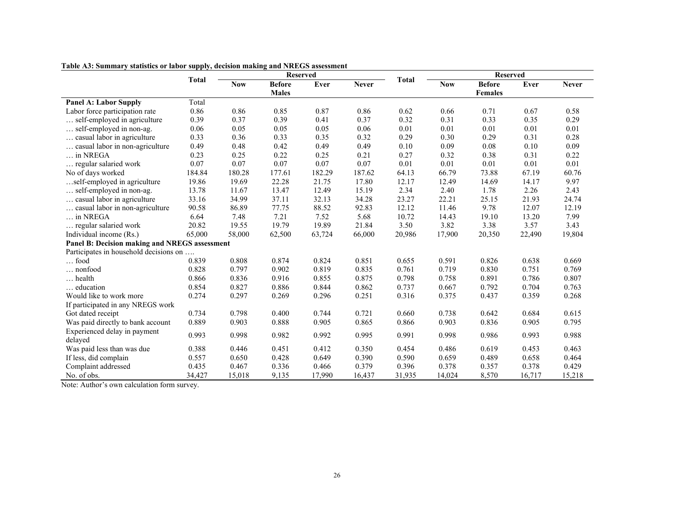|                                               |        | <b>Reserved</b><br><b>Total</b> |               |        |              |              | <b>Reserved</b> |                |        |              |
|-----------------------------------------------|--------|---------------------------------|---------------|--------|--------------|--------------|-----------------|----------------|--------|--------------|
|                                               |        | <b>Now</b>                      | <b>Before</b> | Ever   | <b>Never</b> | <b>Total</b> | <b>Now</b>      | <b>Before</b>  | Ever   | <b>Never</b> |
|                                               |        |                                 | <b>Males</b>  |        |              |              |                 | <b>Females</b> |        |              |
| <b>Panel A: Labor Supply</b>                  | Total  |                                 |               |        |              |              |                 |                |        |              |
| Labor force participation rate                | 0.86   | 0.86                            | 0.85          | 0.87   | 0.86         | 0.62         | 0.66            | 0.71           | 0.67   | 0.58         |
| self-employed in agriculture                  | 0.39   | 0.37                            | 0.39          | 0.41   | 0.37         | 0.32         | 0.31            | 0.33           | 0.35   | 0.29         |
| self-employed in non-ag.                      | 0.06   | 0.05                            | 0.05          | 0.05   | 0.06         | 0.01         | 0.01            | 0.01           | 0.01   | 0.01         |
| casual labor in agriculture                   | 0.33   | 0.36                            | 0.33          | 0.35   | 0.32         | 0.29         | 0.30            | 0.29           | 0.31   | 0.28         |
| casual labor in non-agriculture               | 0.49   | 0.48                            | 0.42          | 0.49   | 0.49         | 0.10         | 0.09            | 0.08           | 0.10   | 0.09         |
| in NREGA                                      | 0.23   | 0.25                            | 0.22          | 0.25   | 0.21         | 0.27         | 0.32            | 0.38           | 0.31   | 0.22         |
| regular salaried work                         | 0.07   | 0.07                            | 0.07          | 0.07   | 0.07         | 0.01         | 0.01            | 0.01           | 0.01   | 0.01         |
| No of days worked                             | 184.84 | 180.28                          | 177.61        | 182.29 | 187.62       | 64.13        | 66.79           | 73.88          | 67.19  | 60.76        |
| self-employed in agriculture                  | 19.86  | 19.69                           | 22.28         | 21.75  | 17.80        | 12.17        | 12.49           | 14.69          | 14.17  | 9.97         |
| self-employed in non-ag.                      | 13.78  | 11.67                           | 13.47         | 12.49  | 15.19        | 2.34         | 2.40            | 1.78           | 2.26   | 2.43         |
| casual labor in agriculture                   | 33.16  | 34.99                           | 37.11         | 32.13  | 34.28        | 23.27        | 22.21           | 25.15          | 21.93  | 24.74        |
| casual labor in non-agriculture               | 90.58  | 86.89                           | 77.75         | 88.52  | 92.83        | 12.12        | 11.46           | 9.78           | 12.07  | 12.19        |
| $\ldots$ in NREGA                             | 6.64   | 7.48                            | 7.21          | 7.52   | 5.68         | 10.72        | 14.43           | 19.10          | 13.20  | 7.99         |
| regular salaried work                         | 20.82  | 19.55                           | 19.79         | 19.89  | 21.84        | 3.50         | 3.82            | 3.38           | 3.57   | 3.43         |
| Individual income (Rs.)                       | 65,000 | 58,000                          | 62,500        | 63,724 | 66,000       | 20,986       | 17,900          | 20,350         | 22,490 | 19,804       |
| Panel B: Decision making and NREGS assessment |        |                                 |               |        |              |              |                 |                |        |              |
| Participates in household decisions on        |        |                                 |               |        |              |              |                 |                |        |              |
| $\ldots$ food                                 | 0.839  | 0.808                           | 0.874         | 0.824  | 0.851        | 0.655        | 0.591           | 0.826          | 0.638  | 0.669        |
| nonfood                                       | 0.828  | 0.797                           | 0.902         | 0.819  | 0.835        | 0.761        | 0.719           | 0.830          | 0.751  | 0.769        |
| $\ldots$ health                               | 0.866  | 0.836                           | 0.916         | 0.855  | 0.875        | 0.798        | 0.758           | 0.891          | 0.786  | 0.807        |
| education                                     | 0.854  | 0.827                           | 0.886         | 0.844  | 0.862        | 0.737        | 0.667           | 0.792          | 0.704  | 0.763        |
| Would like to work more                       | 0.274  | 0.297                           | 0.269         | 0.296  | 0.251        | 0.316        | 0.375           | 0.437          | 0.359  | 0.268        |
| If participated in any NREGS work             |        |                                 |               |        |              |              |                 |                |        |              |
| Got dated receipt                             | 0.734  | 0.798                           | 0.400         | 0.744  | 0.721        | 0.660        | 0.738           | 0.642          | 0.684  | 0.615        |
| Was paid directly to bank account             | 0.889  | 0.903                           | 0.888         | 0.905  | 0.865        | 0.866        | 0.903           | 0.836          | 0.905  | 0.795        |
| Experienced delay in payment                  |        |                                 |               |        |              |              |                 |                |        |              |
| delayed                                       | 0.993  | 0.998                           | 0.982         | 0.992  | 0.995        | 0.991        | 0.998           | 0.986          | 0.993  | 0.988        |
| Was paid less than was due                    | 0.388  | 0.446                           | 0.451         | 0.412  | 0.350        | 0.454        | 0.486           | 0.619          | 0.453  | 0.463        |
| If less, did complain                         | 0.557  | 0.650                           | 0.428         | 0.649  | 0.390        | 0.590        | 0.659           | 0.489          | 0.658  | 0.464        |
| Complaint addressed                           | 0.435  | 0.467                           | 0.336         | 0.466  | 0.379        | 0.396        | 0.378           | 0.357          | 0.378  | 0.429        |
| No. of obs.                                   | 34,427 | 15,018                          | 9,135         | 17,990 | 16,437       | 31,935       | 14,024          | 8,570          | 16,717 | 15,218       |

**Table A3: Summary statistics or labor supply, decision making and NREGS assessment**

Note: Author's own calculation form survey.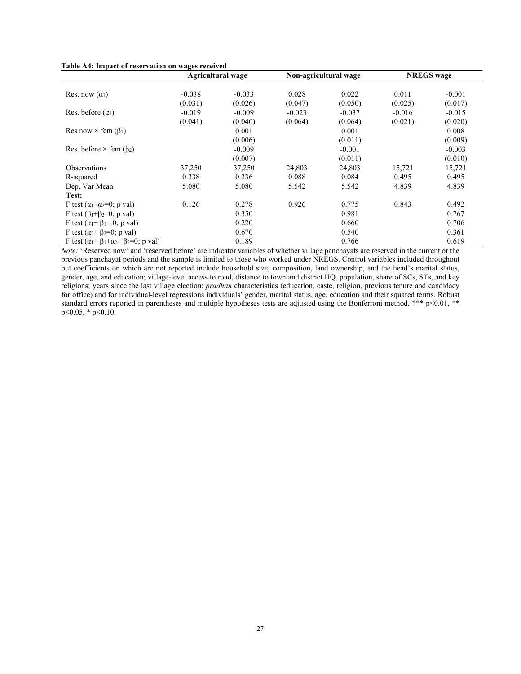|  | Table A4: Impact of reservation on wages received |  |  |  |  |
|--|---------------------------------------------------|--|--|--|--|
|--|---------------------------------------------------|--|--|--|--|

|                                                                       | <b>Agricultural wage</b> |          |          | Non-agricultural wage | <b>NREGS</b> wage |          |  |
|-----------------------------------------------------------------------|--------------------------|----------|----------|-----------------------|-------------------|----------|--|
|                                                                       |                          |          |          |                       |                   |          |  |
| Res. now $(\alpha_1)$                                                 | $-0.038$                 | $-0.033$ | 0.028    | 0.022                 | 0.011             | $-0.001$ |  |
|                                                                       | (0.031)                  | (0.026)  | (0.047)  | (0.050)               | (0.025)           | (0.017)  |  |
| Res. before $(\alpha_2)$                                              | $-0.019$                 | $-0.009$ | $-0.023$ | $-0.037$              | $-0.016$          | $-0.015$ |  |
|                                                                       | (0.041)                  | (0.040)  | (0.064)  | (0.064)               | (0.021)           | (0.020)  |  |
| Res now $\times$ fem ( $\beta_1$ )                                    |                          | 0.001    |          | 0.001                 |                   | 0.008    |  |
|                                                                       |                          | (0.006)  |          | (0.011)               |                   | (0.009)  |  |
| Res. before $\times$ fem ( $\beta_2$ )                                |                          | $-0.009$ |          | $-0.001$              |                   | $-0.003$ |  |
|                                                                       |                          | (0.007)  |          | (0.011)               |                   | (0.010)  |  |
| <b>Observations</b>                                                   | 37,250                   | 37,250   | 24,803   | 24,803                | 15,721            | 15,721   |  |
| R-squared                                                             | 0.338                    | 0.336    | 0.088    | 0.084                 | 0.495             | 0.495    |  |
| Dep. Var Mean                                                         | 5.080                    | 5.080    | 5.542    | 5.542                 | 4.839             | 4.839    |  |
| Test:                                                                 |                          |          |          |                       |                   |          |  |
| F test $(\alpha_1+\alpha_2=0; p \text{ val})$                         | 0.126                    | 0.278    | 0.926    | 0.775                 | 0.843             | 0.492    |  |
| F test $(\beta_1 + \beta_2 = 0; p \text{ val})$                       |                          | 0.350    |          | 0.981                 |                   | 0.767    |  |
| F test $(\alpha_1 + \beta_1 = 0; p \text{ val})$                      |                          | 0.220    |          | 0.660                 |                   | 0.706    |  |
| F test $(\alpha_2 + \beta_2=0; p \text{ val})$                        |                          | 0.670    |          | 0.540                 |                   | 0.361    |  |
| F test $(\alpha_1 + \beta_1 + \alpha_2 + \beta_2 = 0; p \text{ val})$ |                          | 0.189    |          | 0.766                 |                   | 0.619    |  |

*Note:* 'Reserved now' and 'reserved before' are indicator variables of whether village panchayats are reserved in the current or the previous panchayat periods and the sample is limited to those who worked under NREGS. Control variables included throughout but coefficients on which are not reported include household size, composition, land ownership, and the head's marital status, gender, age, and education; village-level access to road, distance to town and district HQ, population, share of SCs, STs, and key religions; years since the last village election; *pradhan* characteristics (education, caste, religion, previous tenure and candidacy for office) and for individual-level regressions individuals' gender, marital status, age, education and their squared terms. Robust standard errors reported in parentheses and multiple hypotheses tests are adjusted using the Bonferroni method. \*\*\* p<0.01, \*\*  $p<0.05$ , \*  $p<0.10$ .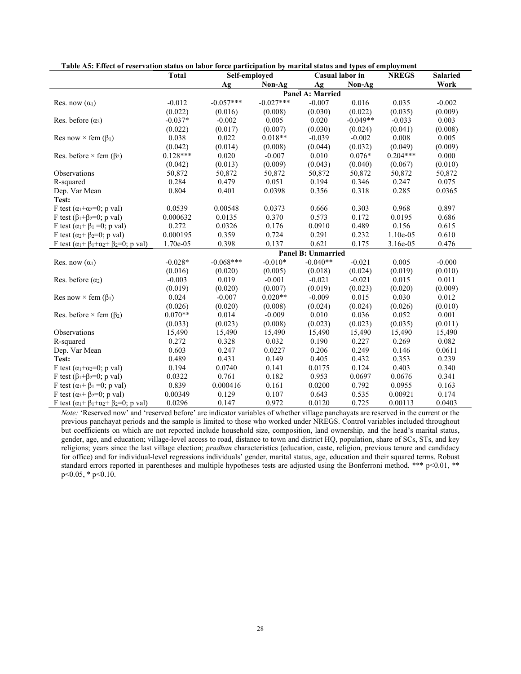| Table A5: Effect of reservation status on fabor force participation by marital status and types of employment<br>Self-emploved<br>Casual labor in<br><b>NREGS</b> |              |             |             |                    |            |            |                         |
|-------------------------------------------------------------------------------------------------------------------------------------------------------------------|--------------|-------------|-------------|--------------------|------------|------------|-------------------------|
|                                                                                                                                                                   | <b>Total</b> |             |             |                    |            |            | <b>Salaried</b><br>Work |
|                                                                                                                                                                   |              | Ag          | Non-Ag      | Ag                 | Non-Ag     |            |                         |
|                                                                                                                                                                   |              |             |             | Panel A: Married   |            |            |                         |
| Res. now $(\alpha_1)$                                                                                                                                             | $-0.012$     | $-0.057***$ | $-0.027***$ | $-0.007$           | 0.016      | 0.035      | $-0.002$                |
|                                                                                                                                                                   | (0.022)      | (0.016)     | (0.008)     | (0.030)            | (0.022)    | (0.035)    | (0.009)                 |
| Res. before $(\alpha_2)$                                                                                                                                          | $-0.037*$    | $-0.002$    | 0.005       | 0.020              | $-0.049**$ | $-0.033$   | 0.003                   |
|                                                                                                                                                                   | (0.022)      | (0.017)     | (0.007)     | (0.030)            | (0.024)    | (0.041)    | (0.008)                 |
| Res now $\times$ fem ( $\beta_1$ )                                                                                                                                | 0.038        | 0.022       | $0.018**$   | $-0.039$           | $-0.002$   | 0.008      | 0.005                   |
|                                                                                                                                                                   | (0.042)      | (0.014)     | (0.008)     | (0.044)            | (0.032)    | (0.049)    | (0.009)                 |
| Res. before $\times$ fem ( $\beta_2$ )                                                                                                                            | $0.128***$   | 0.020       | $-0.007$    | 0.010              | $0.076*$   | $0.204***$ | 0.000                   |
|                                                                                                                                                                   | (0.042)      | (0.013)     | (0.009)     | (0.043)            | (0.040)    | (0.067)    | (0.010)                 |
| Observations                                                                                                                                                      | 50,872       | 50,872      | 50,872      | 50,872             | 50,872     | 50,872     | 50,872                  |
| R-squared                                                                                                                                                         | 0.284        | 0.479       | 0.051       | 0.194              | 0.346      | 0.247      | 0.075                   |
| Dep. Var Mean                                                                                                                                                     | 0.804        | 0.401       | 0.0398      | 0.356              | 0.318      | 0.285      | 0.0365                  |
| Test:                                                                                                                                                             |              |             |             |                    |            |            |                         |
| F test ( $\alpha_1+\alpha_2=0$ ; p val)                                                                                                                           | 0.0539       | 0.00548     | 0.0373      | 0.666              | 0.303      | 0.968      | 0.897                   |
| F test $(\beta_1+\beta_2=0; p val)$                                                                                                                               | 0.000632     | 0.0135      | 0.370       | 0.573              | 0.172      | 0.0195     | 0.686                   |
| F test $(\alpha_1 + \beta_1 = 0; p \text{ val})$                                                                                                                  | 0.272        | 0.0326      | 0.176       | 0.0910             | 0.489      | 0.156      | 0.615                   |
| F test ( $\alpha_2 + \beta_2 = 0$ ; p val)                                                                                                                        | 0.000195     | 0.359       | 0.724       | 0.291              | 0.232      | 1.10e-05   | 0.610                   |
| F test $(\alpha_1 + \beta_1 + \alpha_2 + \beta_2 = 0; p \text{ val})$                                                                                             | 1.70e-05     | 0.398       | 0.137       | 0.621              | 0.175      | 3.16e-05   | 0.476                   |
|                                                                                                                                                                   |              |             |             | Panel B: Unmarried |            |            |                         |
| Res. now $(\alpha_1)$                                                                                                                                             | $-0.028*$    | $-0.068***$ | $-0.010*$   | $-0.040**$         | $-0.021$   | 0.005      | $-0.000$                |
|                                                                                                                                                                   | (0.016)      | (0.020)     | (0.005)     | (0.018)            | (0.024)    | (0.019)    | (0.010)                 |
| Res. before $(\alpha_2)$                                                                                                                                          | $-0.003$     | 0.019       | $-0.001$    | $-0.021$           | $-0.021$   | 0.015      | 0.011                   |
|                                                                                                                                                                   | (0.019)      | (0.020)     | (0.007)     | (0.019)            | (0.023)    | (0.020)    | (0.009)                 |
| Res now $\times$ fem ( $\beta_1$ )                                                                                                                                | 0.024        | $-0.007$    | $0.020**$   | $-0.009$           | 0.015      | 0.030      | 0.012                   |
|                                                                                                                                                                   | (0.026)      | (0.020)     | (0.008)     | (0.024)            | (0.024)    | (0.026)    | (0.010)                 |
| Res. before $\times$ fem ( $\beta_2$ )                                                                                                                            | $0.070**$    | 0.014       | $-0.009$    | 0.010              | 0.036      | 0.052      | 0.001                   |
|                                                                                                                                                                   | (0.033)      | (0.023)     | (0.008)     | (0.023)            | (0.023)    | (0.035)    | (0.011)                 |
| Observations                                                                                                                                                      | 15,490       | 15,490      | 15,490      | 15,490             | 15,490     | 15,490     | 15,490                  |
| R-squared                                                                                                                                                         | 0.272        | 0.328       | 0.032       | 0.190              | 0.227      | 0.269      | 0.082                   |
| Dep. Var Mean                                                                                                                                                     | 0.603        | 0.247       | 0.0227      | 0.206              | 0.249      | 0.146      | 0.0611                  |
| Test:                                                                                                                                                             | 0.489        | 0.431       | 0.149       | 0.405              | 0.432      | 0.353      | 0.239                   |
| F test ( $\alpha_1+\alpha_2=0$ ; p val)                                                                                                                           | 0.194        | 0.0740      | 0.141       | 0.0175             | 0.124      | 0.403      | 0.340                   |
| F test $(\beta_1+\beta_2=0; p val)$                                                                                                                               | 0.0322       | 0.761       | 0.182       | 0.953              | 0.0697     | 0.0676     | 0.341                   |
| F test $(\alpha_1 + \beta_1 = 0; p \text{ val})$                                                                                                                  | 0.839        | 0.000416    | 0.161       | 0.0200             | 0.792      | 0.0955     | 0.163                   |
| F test ( $\alpha_2 + \beta_2 = 0$ ; p val)                                                                                                                        | 0.00349      | 0.129       | 0.107       | 0.643              | 0.535      | 0.00921    | 0.174                   |
| F test $(\alpha_1 + \beta_1 + \alpha_2 + \beta_2 = 0; p \text{ val})$                                                                                             | 0.0296       | 0.147       | 0.972       | 0.0120             | 0.725      | 0.00113    | 0.0403                  |

**Table A5: Effect of reservation status on labor force participation by marital status and types of employment**

*Note:* 'Reserved now' and 'reserved before' are indicator variables of whether village panchayats are reserved in the current or the previous panchayat periods and the sample is limited to those who worked under NREGS. Control variables included throughout but coefficients on which are not reported include household size, composition, land ownership, and the head's marital status, gender, age, and education; village-level access to road, distance to town and district HQ, population, share of SCs, STs, and key religions; years since the last village election; *pradhan* characteristics (education, caste, religion, previous tenure and candidacy for office) and for individual-level regressions individuals' gender, marital status, age, education and their squared terms. Robust standard errors reported in parentheses and multiple hypotheses tests are adjusted using the Bonferroni method. \*\*\* p<0.01, \*\* p<0.05, \* p<0.10.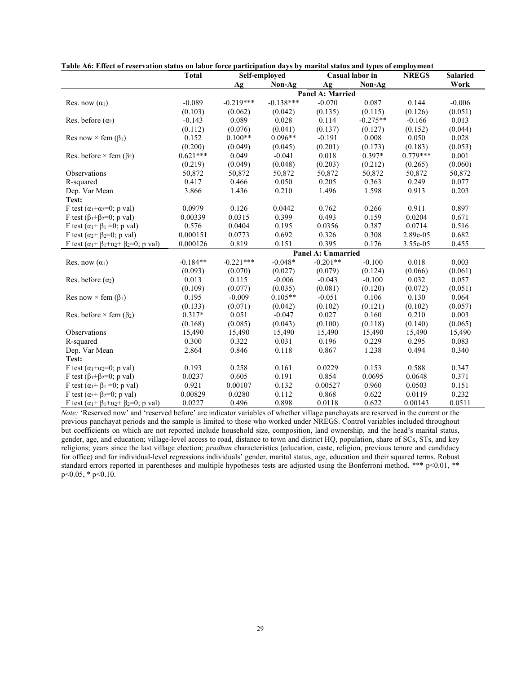|                                                                       | <b>Total</b><br>Self-employed |             |             |                         | Casual labor in | <b>NREGS</b> | <b>Salaried</b> |
|-----------------------------------------------------------------------|-------------------------------|-------------|-------------|-------------------------|-----------------|--------------|-----------------|
|                                                                       |                               | Ag          | Non-Ag      | Ag                      | Non-Ag          |              | Work            |
|                                                                       |                               |             |             | <b>Panel A: Married</b> |                 |              |                 |
| Res. now $(\alpha_1)$                                                 | $-0.089$                      | $-0.219***$ | $-0.138***$ | $-0.070$                | 0.087           | 0.144        | $-0.006$        |
|                                                                       | (0.103)                       | (0.062)     | (0.042)     | (0.135)                 | (0.115)         | (0.126)      | (0.051)         |
| Res. before $(\alpha_2)$                                              | $-0.143$                      | 0.089       | 0.028       | 0.114                   | $-0.275**$      | $-0.166$     | 0.013           |
|                                                                       | (0.112)                       | (0.076)     | (0.041)     | (0.137)                 | (0.127)         | (0.152)      | (0.044)         |
| Res now $\times$ fem ( $\beta_1$ )                                    | 0.152                         | $0.100**$   | $0.096**$   | $-0.191$                | 0.008           | 0.050        | 0.028           |
|                                                                       | (0.200)                       | (0.049)     | (0.045)     | (0.201)                 | (0.173)         | (0.183)      | (0.053)         |
| Res. before $\times$ fem ( $\beta$ <sub>2</sub> )                     | $0.621***$                    | 0.049       | $-0.041$    | 0.018                   | $0.397*$        | $0.779***$   | 0.001           |
|                                                                       | (0.219)                       | (0.049)     | (0.048)     | (0.203)                 | (0.212)         | (0.265)      | (0.060)         |
| Observations                                                          | 50,872                        | 50,872      | 50,872      | 50,872                  | 50,872          | 50,872       | 50,872          |
| R-squared                                                             | 0.417                         | 0.466       | 0.050       | 0.205                   | 0.363           | 0.249        | 0.077           |
| Dep. Var Mean                                                         | 3.866                         | 1.436       | 0.210       | 1.496                   | 1.598           | 0.913        | 0.203           |
| Test:                                                                 |                               |             |             |                         |                 |              |                 |
| F test ( $\alpha_1 + \alpha_2 = 0$ ; p val)                           | 0.0979                        | 0.126       | 0.0442      | 0.762                   | 0.266           | 0.911        | 0.897           |
| F test $(\beta_1 + \beta_2 = 0; p \text{ val})$                       | 0.00339                       | 0.0315      | 0.399       | 0.493                   | 0.159           | 0.0204       | 0.671           |
| F test $(\alpha_1 + \beta_1 = 0; p \text{ val})$                      | 0.576                         | 0.0404      | 0.195       | 0.0356                  | 0.387           | 0.0714       | 0.516           |
| F test ( $\alpha_2 + \beta_2 = 0$ ; p val)                            | 0.000151                      | 0.0773      | 0.692       | 0.326                   | 0.308           | 2.89e-05     | 0.682           |
| F test $(\alpha_1 + \beta_1 + \alpha_2 + \beta_2 = 0; p \text{ val})$ | 0.000126                      | 0.819       | 0.151       | 0.395                   | 0.176           | 3.55e-05     | 0.455           |
|                                                                       |                               |             |             | Panel A: Unmarried      |                 |              |                 |
| Res. now $(\alpha_1)$                                                 | $-0.184**$                    | $-0.221***$ | $-0.048*$   | $-0.201**$              | $-0.100$        | 0.018        | 0.003           |
|                                                                       | (0.093)                       | (0.070)     | (0.027)     | (0.079)                 | (0.124)         | (0.066)      | (0.061)         |
| Res. before $(\alpha_2)$                                              | 0.013                         | 0.115       | $-0.006$    | $-0.043$                | $-0.100$        | 0.032        | 0.057           |
|                                                                       | (0.109)                       | (0.077)     | (0.035)     | (0.081)                 | (0.120)         | (0.072)      | (0.051)         |
| Res now $\times$ fem ( $\beta_1$ )                                    | 0.195                         | $-0.009$    | $0.105**$   | $-0.051$                | 0.106           | 0.130        | 0.064           |
|                                                                       | (0.133)                       | (0.071)     | (0.042)     | (0.102)                 | (0.121)         | (0.102)      | (0.057)         |
| Res. before $\times$ fem ( $\beta_2$ )                                | $0.317*$                      | 0.051       | $-0.047$    | 0.027                   | 0.160           | 0.210        | 0.003           |
|                                                                       | (0.168)                       | (0.085)     | (0.043)     | (0.100)                 | (0.118)         | (0.140)      | (0.065)         |
| Observations                                                          | 15,490                        | 15,490      | 15,490      | 15,490                  | 15,490          | 15,490       | 15,490          |
| R-squared                                                             | 0.300                         | 0.322       | 0.031       | 0.196                   | 0.229           | 0.295        | 0.083           |
| Dep. Var Mean                                                         | 2.864                         | 0.846       | 0.118       | 0.867                   | 1.238           | 0.494        | 0.340           |
| Test:                                                                 |                               |             |             |                         |                 |              |                 |
| F test ( $\alpha_1 + \alpha_2 = 0$ ; p val)                           | 0.193                         | 0.258       | 0.161       | 0.0229                  | 0.153           | 0.588        | 0.347           |
| F test $(\beta_1+\beta_2=0; p val)$                                   | 0.0237                        | 0.605       | 0.191       | 0.854                   | 0.0695          | 0.0648       | 0.371           |
| F test $(\alpha_1 + \beta_1 = 0; p \text{ val})$                      | 0.921                         | 0.00107     | 0.132       | 0.00527                 | 0.960           | 0.0503       | 0.151           |
| F test ( $\alpha_2$ + $\beta_2$ =0; p val)                            | 0.00829                       | 0.0280      | 0.112       | 0.868                   | 0.622           | 0.0119       | 0.232           |
| F test $(\alpha_1 + \beta_1 + \alpha_2 + \beta_2 = 0; p \text{ val})$ | 0.0227                        | 0.496       | 0.898       | 0.0118                  | 0.622           | 0.00143      | 0.0511          |

**Table A6: Effect of reservation status on labor force participation days by marital status and types of employment**

*Note:* 'Reserved now' and 'reserved before' are indicator variables of whether village panchayats are reserved in the current or the previous panchayat periods and the sample is limited to those who worked under NREGS. Control variables included throughout but coefficients on which are not reported include household size, composition, land ownership, and the head's marital status, gender, age, and education; village-level access to road, distance to town and district HQ, population, share of SCs, STs, and key religions; years since the last village election; *pradhan* characteristics (education, caste, religion, previous tenure and candidacy for office) and for individual-level regressions individuals' gender, marital status, age, education and their squared terms. Robust standard errors reported in parentheses and multiple hypotheses tests are adjusted using the Bonferroni method. \*\*\* p<0.01, \*\*  $p<0.05$ , \*  $p<0.10$ .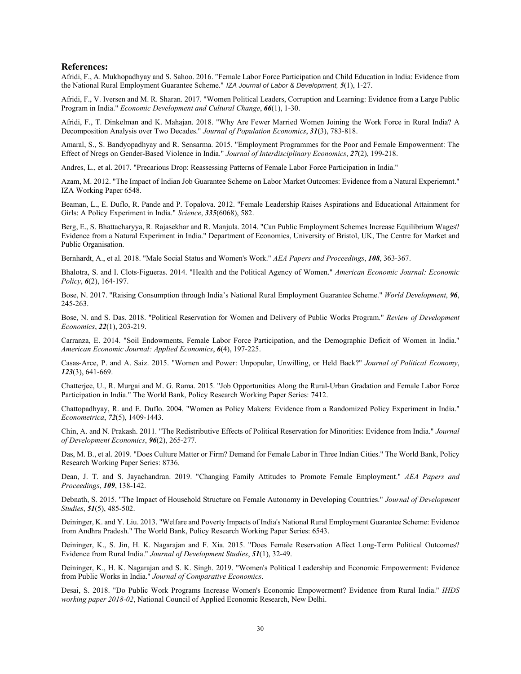#### **References:**

<span id="page-31-1"></span>Afridi, F., A. Mukhopadhyay and S. Sahoo. 2016. "Female Labor Force Participation and Child Education in India: Evidence from the National Rural Employment Guarantee Scheme." *IZA Journal of Labor & Development, 5*(1), 1-27.

<span id="page-31-9"></span>Afridi, F., V. Iversen and M. R. Sharan. 2017. "Women Political Leaders, Corruption and Learning: Evidence from a Large Public Program in India." *Economic Development and Cultural Change*, *66*(1), 1-30.

<span id="page-31-2"></span>Afridi, F., T. Dinkelman and K. Mahajan. 2018. "Why Are Fewer Married Women Joining the Work Force in Rural India? A Decomposition Analysis over Two Decades." *Journal of Population Economics*, *31*(3), 783-818.

<span id="page-31-23"></span>Amaral, S., S. Bandyopadhyay and R. Sensarma. 2015. "Employment Programmes for the Poor and Female Empowerment: The Effect of Nregs on Gender-Based Violence in India." *Journal of Interdisciplinary Economics*, *27*(2), 199-218.

<span id="page-31-0"></span>Andres, L., et al. 2017. "Precarious Drop: Reassessing Patterns of Female Labor Force Participation in India."

<span id="page-31-19"></span>Azam, M. 2012. "The Impact of Indian Job Guarantee Scheme on Labor Market Outcomes: Evidence from a Natural Experiemnt." IZA Working Paper 6548.

<span id="page-31-7"></span>Beaman, L., E. Duflo, R. Pande and P. Topalova. 2012. "Female Leadership Raises Aspirations and Educational Attainment for Girls: A Policy Experiment in India." *Science*, *335*(6068), 582.

<span id="page-31-20"></span>Berg, E., S. Bhattacharyya, R. Rajasekhar and R. Manjula. 2014. "Can Public Employment Schemes Increase Equilibrium Wages? Evidence from a Natural Experiment in India." Department of Economics, University of Bristol, UK, The Centre for Market and Public Organisation.

<span id="page-31-4"></span>Bernhardt, A., et al. 2018. "Male Social Status and Women's Work." *AEA Papers and Proceedings*, *108*, 363-367.

<span id="page-31-16"></span>Bhalotra, S. and I. Clots-Figueras. 2014. "Health and the Political Agency of Women." *American Economic Journal: Economic Policy*, *6*(2), 164-197.

<span id="page-31-21"></span>Bose, N. 2017. "Raising Consumption through India's National Rural Employment Guarantee Scheme." *World Development*, *96*, 245-263.

<span id="page-31-8"></span>Bose, N. and S. Das. 2018. "Political Reservation for Women and Delivery of Public Works Program." *Review of Development Economics*, *22*(1), 203-219.

<span id="page-31-15"></span>Carranza, E. 2014. "Soil Endowments, Female Labor Force Participation, and the Demographic Deficit of Women in India." *American Economic Journal: Applied Economics*, *6*(4), 197-225.

<span id="page-31-10"></span>Casas-Arce, P. and A. Saiz. 2015. "Women and Power: Unpopular, Unwilling, or Held Back?" *Journal of Political Economy*, *123*(3), 641-669.

<span id="page-31-12"></span>Chatterjee, U., R. Murgai and M. G. Rama. 2015. "Job Opportunities Along the Rural-Urban Gradation and Female Labor Force Participation in India." The World Bank, Policy Research Working Paper Series: 7412.

<span id="page-31-5"></span>Chattopadhyay, R. and E. Duflo. 2004. "Women as Policy Makers: Evidence from a Randomized Policy Experiment in India." *Econometrica*, *72*(5), 1409-1443.

<span id="page-31-18"></span>Chin, A. and N. Prakash. 2011. "The Redistributive Effects of Political Reservation for Minorities: Evidence from India." *Journal of Development Economics*, *96*(2), 265-277.

<span id="page-31-11"></span>Das, M. B., et al. 2019. "Does Culture Matter or Firm? Demand for Female Labor in Three Indian Cities." The World Bank, Policy Research Working Paper Series: 8736.

<span id="page-31-14"></span>Dean, J. T. and S. Jayachandran. 2019. "Changing Family Attitudes to Promote Female Employment." *AEA Papers and Proceedings*, *109*, 138-142.

<span id="page-31-13"></span>Debnath, S. 2015. "The Impact of Household Structure on Female Autonomy in Developing Countries." *Journal of Development Studies*, *51*(5), 485-502.

<span id="page-31-22"></span>Deininger, K. and Y. Liu. 2013. "Welfare and Poverty Impacts of India's National Rural Employment Guarantee Scheme: Evidence from Andhra Pradesh." The World Bank, Policy Research Working Paper Series: 6543.

<span id="page-31-17"></span>Deininger, K., S. Jin, H. K. Nagarajan and F. Xia. 2015. "Does Female Reservation Affect Long-Term Political Outcomes? Evidence from Rural India." *Journal of Development Studies*, *51*(1), 32-49.

<span id="page-31-6"></span>Deininger, K., H. K. Nagarajan and S. K. Singh. 2019. "Women's Political Leadership and Economic Empowerment: Evidence from Public Works in India." *Journal of Comparative Economics*.

<span id="page-31-3"></span>Desai, S. 2018. "Do Public Work Programs Increase Women's Economic Empowerment? Evidence from Rural India." *IHDS working paper 2018-02*, National Council of Applied Economic Research, New Delhi.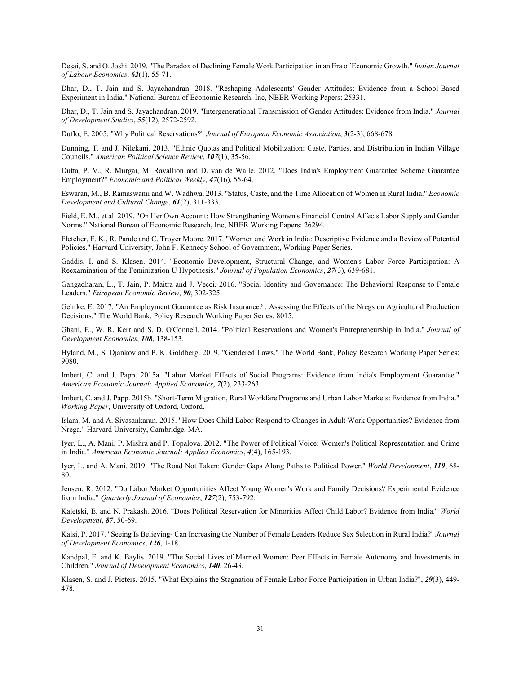<span id="page-32-15"></span>Desai, S. and O. Joshi. 2019. "The Paradox of Declining Female Work Participation in an Era of Economic Growth." *Indian Journal of Labour Economics*, *62*(1), 55-71.

<span id="page-32-10"></span>Dhar, D., T. Jain and S. Jayachandran. 2018. "Reshaping Adolescents' Gender Attitudes: Evidence from a School-Based Experiment in India." National Bureau of Economic Research, Inc, NBER Working Papers: 25331.

<span id="page-32-3"></span>Dhar, D., T. Jain and S. Jayachandran. 2019. "Intergenerational Transmission of Gender Attitudes: Evidence from India." *Journal of Development Studies*, *55*(12), 2572-2592.

<span id="page-32-16"></span>Duflo, E. 2005. "Why Political Reservations?" *Journal of European Economic Association*, *3*(2-3), 668-678.

<span id="page-32-18"></span>Dunning, T. and J. Nilekani. 2013. "Ethnic Quotas and Political Mobilization: Caste, Parties, and Distribution in Indian Village Councils." *American Political Science Review*, *107*(1), 35-56.

<span id="page-32-17"></span>Dutta, P. V., R. Murgai, M. Ravallion and D. van de Walle. 2012. "Does India's Employment Guarantee Scheme Guarantee Employment?" *Economic and Political Weekly*, *47*(16), 55-64.

<span id="page-32-1"></span>Eswaran, M., B. Ramaswami and W. Wadhwa. 2013. "Status, Caste, and the Time Allocation of Women in Rural India." *Economic Development and Cultural Change*, *61*(2), 311-333.

<span id="page-32-9"></span>Field, E. M., et al. 2019. "On Her Own Account: How Strengthening Women's Financial Control Affects Labor Supply and Gender Norms." National Bureau of Economic Research, Inc, NBER Working Papers: 26294.

<span id="page-32-0"></span>Fletcher, E. K., R. Pande and C. Troyer Moore. 2017. "Women and Work in India: Descriptive Evidence and a Review of Potential Policies." Harvard University, John F. Kennedy School of Government, Working Paper Series.

<span id="page-32-12"></span>Gaddis, I. and S. Klasen. 2014. "Economic Development, Structural Change, and Women's Labor Force Participation: A Reexamination of the Feminization U Hypothesis." *Journal of Population Economics*, *27*(3), 639-681.

<span id="page-32-7"></span>Gangadharan, L., T. Jain, P. Maitra and J. Vecci. 2016. "Social Identity and Governance: The Behavioral Response to Female Leaders." *European Economic Review*, *90*, 302-325.

<span id="page-32-22"></span>Gehrke, E. 2017. "An Employment Guarantee as Risk Insurance? : Assessing the Effects of the Nregs on Agricultural Production Decisions." The World Bank, Policy Research Working Paper Series: 8015.

<span id="page-32-6"></span>Ghani, E., W. R. Kerr and S. D. O'Connell. 2014. "Political Reservations and Women's Entrepreneurship in India." *Journal of Development Economics*, *108*, 138-153.

<span id="page-32-13"></span>Hyland, M., S. Djankov and P. K. Goldberg. 2019. "Gendered Laws." The World Bank, Policy Research Working Paper Series: 9080.

<span id="page-32-20"></span>Imbert, C. and J. Papp. 2015a. "Labor Market Effects of Social Programs: Evidence from India's Employment Guarantee." *American Economic Journal: Applied Economics*, *7*(2), 233-263.

<span id="page-32-21"></span>Imbert, C. and J. Papp. 2015b. "Short-Term Migration, Rural Workfare Programs and Urban Labor Markets: Evidence from India." *Working Paper*, University of Oxford, Oxford.

<span id="page-32-23"></span>Islam, M. and A. Sivasankaran. 2015. "How Does Child Labor Respond to Changes in Adult Work Opportunities? Evidence from Nrega." Harvard University, Cambridge, MA.

<span id="page-32-4"></span>Iyer, L., A. Mani, P. Mishra and P. Topalova. 2012. "The Power of Political Voice: Women's Political Representation and Crime in India." *American Economic Journal: Applied Economics*, *4*(4), 165-193.

<span id="page-32-8"></span>Iyer, L. and A. Mani. 2019. "The Road Not Taken: Gender Gaps Along Paths to Political Power." *World Development*, *119*, 68- 80.

<span id="page-32-11"></span>Jensen, R. 2012. "Do Labor Market Opportunities Affect Young Women's Work and Family Decisions? Experimental Evidence from India." *Quarterly Journal of Economics*, *127*(2), 753-792.

<span id="page-32-19"></span>Kaletski, E. and N. Prakash. 2016. "Does Political Reservation for Minorities Affect Child Labor? Evidence from India." *World Development*, *87*, 50-69.

<span id="page-32-5"></span>Kalsi, P. 2017. "Seeing Is Believing- Can Increasing the Number of Female Leaders Reduce Sex Selection in Rural India?" *Journal of Development Economics*, *126*, 1-18.

<span id="page-32-2"></span>Kandpal, E. and K. Baylis. 2019. "The Social Lives of Married Women: Peer Effects in Female Autonomy and Investments in Children." *Journal of Development Economics*, *140*, 26-43.

<span id="page-32-14"></span>Klasen, S. and J. Pieters. 2015. "What Explains the Stagnation of Female Labor Force Participation in Urban India?", *29*(3), 449- 478.